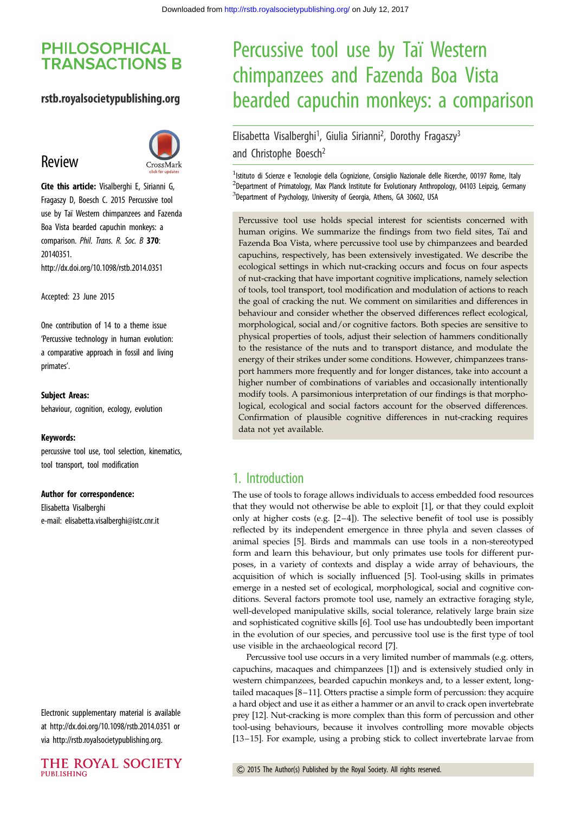# **PHILOSOPHICAL TRANSACTIONS B**

## rstb.royalsocietypublishing.org

# Review



Cite this article: Visalberghi E, Sirianni G, Fragaszy D, Boesch C. 2015 Percussive tool use by Taı¨ Western chimpanzees and Fazenda Boa Vista bearded capuchin monkeys: a comparison. Phil. Trans. R. Soc. B 370: 20140351. http://dx.doi.org/10.1098/rstb.2014.0351

Accepted: 23 June 2015

One contribution of 14 to a theme issue 'Percussive technology in human evolution: a comparative approach in fossil and living primates'.

#### Subject Areas:

behaviour, cognition, ecology, evolution

#### Keywords:

percussive tool use, tool selection, kinematics, tool transport, tool modification

#### Author for correspondence:

Elisabetta Visalberghi e-mail: [elisabetta.visalberghi@istc.cnr.it](mailto:elisabetta.visalberghi@istc.cnr.it)

Electronic supplementary material is available at<http://dx.doi.org/10.1098/rstb.2014.0351> or via [http://rstb.royalsocietypublishing.org.](http://rstb.royalsocietypublishing.org)

# Percussive tool use by Taï Western chimpanzees and Fazenda Boa Vista bearded capuchin monkeys: a comparison

# Elisabetta Visalberghi<sup>1</sup>, Giulia Sirianni<sup>2</sup>, Dorothy Fragaszy<sup>3</sup> and Christophe Boesch<sup>2</sup>

<sup>1</sup> Istituto di Scienze e Tecnologie della Cognizione, Consiglio Nazionale delle Ricerche, 00197 Rome, Italy <sup>2</sup>Department of Primatology, Max Planck Institute for Evolutionary Anthropology, 04103 Leipzig, Germany <sup>3</sup>Department of Psychology, University of Georgia, Athens, GA 30602, USA

Percussive tool use holds special interest for scientists concerned with human origins. We summarize the findings from two field sites, Taï and Fazenda Boa Vista, where percussive tool use by chimpanzees and bearded capuchins, respectively, has been extensively investigated. We describe the ecological settings in which nut-cracking occurs and focus on four aspects of nut-cracking that have important cognitive implications, namely selection of tools, tool transport, tool modification and modulation of actions to reach the goal of cracking the nut. We comment on similarities and differences in behaviour and consider whether the observed differences reflect ecological, morphological, social and/or cognitive factors. Both species are sensitive to physical properties of tools, adjust their selection of hammers conditionally to the resistance of the nuts and to transport distance, and modulate the energy of their strikes under some conditions. However, chimpanzees transport hammers more frequently and for longer distances, take into account a higher number of combinations of variables and occasionally intentionally modify tools. A parsimonious interpretation of our findings is that morphological, ecological and social factors account for the observed differences. Confirmation of plausible cognitive differences in nut-cracking requires data not yet available.

## 1. Introduction

The use of tools to forage allows individuals to access embedded food resources that they would not otherwise be able to exploit [\[1\]](#page-12-0), or that they could exploit only at higher costs (e.g. [[2](#page-12-0)–[4\]](#page-12-0)). The selective benefit of tool use is possibly reflected by its independent emergence in three phyla and seven classes of animal species [\[5\]](#page-12-0). Birds and mammals can use tools in a non-stereotyped form and learn this behaviour, but only primates use tools for different purposes, in a variety of contexts and display a wide array of behaviours, the acquisition of which is socially influenced [[5](#page-12-0)]. Tool-using skills in primates emerge in a nested set of ecological, morphological, social and cognitive conditions. Several factors promote tool use, namely an extractive foraging style, well-developed manipulative skills, social tolerance, relatively large brain size and sophisticated cognitive skills [[6](#page-12-0)]. Tool use has undoubtedly been important in the evolution of our species, and percussive tool use is the first type of tool use visible in the archaeological record [\[7\]](#page-12-0).

Percussive tool use occurs in a very limited number of mammals (e.g. otters, capuchins, macaques and chimpanzees [\[1\]](#page-12-0)) and is extensively studied only in western chimpanzees, bearded capuchin monkeys and, to a lesser extent, longtailed macaques [[8](#page-12-0)–[11](#page-12-0)]. Otters practise a simple form of percussion: they acquire a hard object and use it as either a hammer or an anvil to crack open invertebrate prey [[12\]](#page-12-0). Nut-cracking is more complex than this form of percussion and other tool-using behaviours, because it involves controlling more movable objects [[13](#page-12-0)–[15\]](#page-12-0). For example, using a probing stick to collect invertebrate larvae from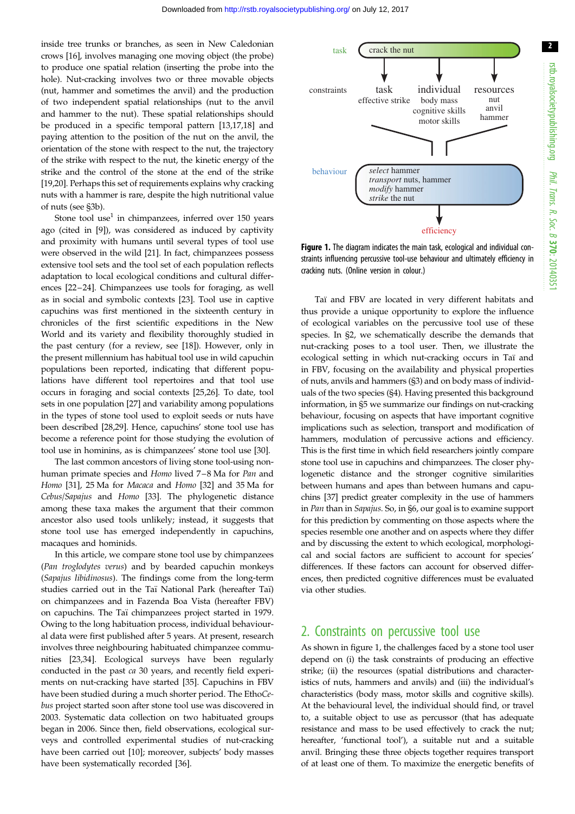<span id="page-1-0"></span>inside tree trunks or branches, as seen in New Caledonian crows [\[16](#page-12-0)], involves managing one moving object (the probe) to produce one spatial relation (inserting the probe into the hole). Nut-cracking involves two or three movable objects (nut, hammer and sometimes the anvil) and the production of two independent spatial relationships (nut to the anvil and hammer to the nut). These spatial relationships should be produced in a specific temporal pattern [[13,17,18\]](#page-12-0) and paying attention to the position of the nut on the anvil, the orientation of the stone with respect to the nut, the trajectory of the strike with respect to the nut, the kinetic energy of the strike and the control of the stone at the end of the strike [\[19,20](#page-12-0)]. Perhaps this set of requirements explains why cracking nuts with a hammer is rare, despite the high nutritional value of nuts (see §3b).

Stone tool use<sup>1</sup> in chimpanzees, inferred over  $150$  years ago (cited in [\[9\]](#page-12-0)), was considered as induced by captivity and proximity with humans until several types of tool use were observed in the wild [[21\]](#page-12-0). In fact, chimpanzees possess extensive tool sets and the tool set of each population reflects adaptation to local ecological conditions and cultural differences [\[22](#page-12-0)–[24\]](#page-12-0). Chimpanzees use tools for foraging, as well as in social and symbolic contexts [[23\]](#page-12-0). Tool use in captive capuchins was first mentioned in the sixteenth century in chronicles of the first scientific expeditions in the New World and its variety and flexibility thoroughly studied in the past century (for a review, see [\[18](#page-12-0)]). However, only in the present millennium has habitual tool use in wild capuchin populations been reported, indicating that different populations have different tool repertoires and that tool use occurs in foraging and social contexts [[25,26\]](#page-12-0). To date, tool sets in one population [[27\]](#page-12-0) and variability among populations in the types of stone tool used to exploit seeds or nuts have been described [\[28,29](#page-13-0)]. Hence, capuchins' stone tool use has become a reference point for those studying the evolution of tool use in hominins, as is chimpanzees' stone tool use [\[30](#page-13-0)].

The last common ancestors of living stone tool-using nonhuman primate species and Homo lived 7–8 Ma for Pan and Homo [[31\]](#page-13-0), 25 Ma for Macaca and Homo [[32\]](#page-13-0) and 35 Ma for Cebus/Sapajus and Homo [\[33](#page-13-0)]. The phylogenetic distance among these taxa makes the argument that their common ancestor also used tools unlikely; instead, it suggests that stone tool use has emerged independently in capuchins, macaques and hominids.

In this article, we compare stone tool use by chimpanzees (Pan troglodytes verus) and by bearded capuchin monkeys (Sapajus libidinosus). The findings come from the long-term studies carried out in the Taï National Park (hereafter Taï) on chimpanzees and in Fazenda Boa Vista (hereafter FBV) on capuchins. The Ta¨ı chimpanzees project started in 1979. Owing to the long habituation process, individual behavioural data were first published after 5 years. At present, research involves three neighbouring habituated chimpanzee communities [[23,](#page-12-0)[34\]](#page-13-0). Ecological surveys have been regularly conducted in the past ca 30 years, and recently field experiments on nut-cracking have started [\[35](#page-13-0)]. Capuchins in FBV have been studied during a much shorter period. The EthoCebus project started soon after stone tool use was discovered in 2003. Systematic data collection on two habituated groups began in 2006. Since then, field observations, ecological surveys and controlled experimental studies of nut-cracking have been carried out [[10\]](#page-12-0); moreover, subjects' body masses have been systematically recorded [\[36](#page-13-0)].



Figure 1. The diagram indicates the main task, ecological and individual constraints influencing percussive tool-use behaviour and ultimately efficiency in cracking nuts. (Online version in colour.)

Taï and FBV are located in very different habitats and thus provide a unique opportunity to explore the influence of ecological variables on the percussive tool use of these species. In §2, we schematically describe the demands that nut-cracking poses to a tool user. Then, we illustrate the ecological setting in which nut-cracking occurs in Taï and in FBV, focusing on the availability and physical properties of nuts, anvils and hammers (§3) and on body mass of individuals of the two species (§4). Having presented this background information, in §5 we summarize our findings on nut-cracking behaviour, focusing on aspects that have important cognitive implications such as selection, transport and modification of hammers, modulation of percussive actions and efficiency. This is the first time in which field researchers jointly compare stone tool use in capuchins and chimpanzees. The closer phylogenetic distance and the stronger cognitive similarities between humans and apes than between humans and capuchins [\[37](#page-13-0)] predict greater complexity in the use of hammers in Pan than in Sapajus. So, in §6, our goal is to examine support for this prediction by commenting on those aspects where the species resemble one another and on aspects where they differ and by discussing the extent to which ecological, morphological and social factors are sufficient to account for species' differences. If these factors can account for observed differences, then predicted cognitive differences must be evaluated via other studies.

## 2. Constraints on percussive tool use

As shown in figure 1, the challenges faced by a stone tool user depend on (i) the task constraints of producing an effective strike; (ii) the resources (spatial distributions and characteristics of nuts, hammers and anvils) and (iii) the individual's characteristics (body mass, motor skills and cognitive skills). At the behavioural level, the individual should find, or travel to, a suitable object to use as percussor (that has adequate resistance and mass to be used effectively to crack the nut; hereafter, 'functional tool'), a suitable nut and a suitable anvil. Bringing these three objects together requires transport of at least one of them. To maximize the energetic benefits of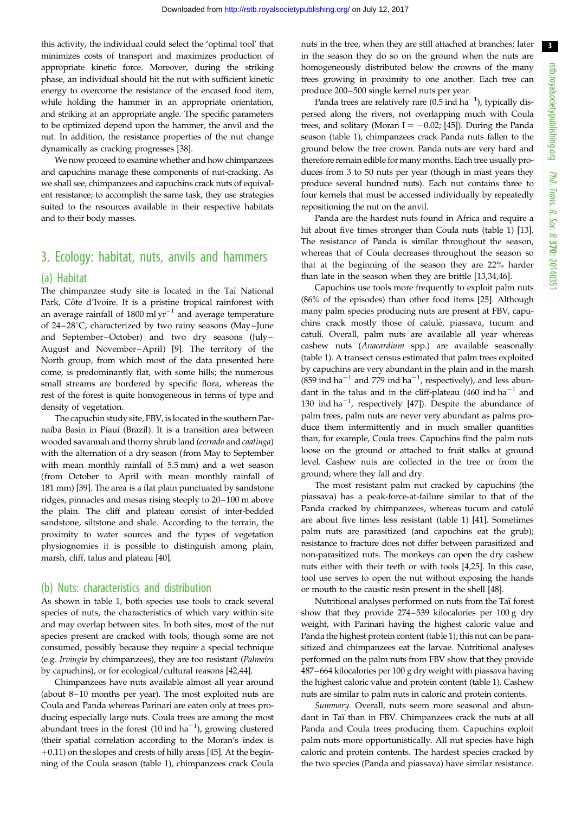this activity, the individual could select the 'optimal tool' that minimizes costs of transport and maximizes production of appropriate kinetic force. Moreover, during the striking phase, an individual should hit the nut with sufficient kinetic energy to overcome the resistance of the encased food item, while holding the hammer in an appropriate orientation, and striking at an appropriate angle. The specific parameters to be optimized depend upon the hammer, the anvil and the nut. In addition, the resistance properties of the nut change dynamically as cracking progresses [\[38\]](#page-13-0).

We now proceed to examine whether and how chimpanzees and capuchins manage these components of nut-cracking. As we shall see, chimpanzees and capuchins crack nuts of equivalent resistance; to accomplish the same task, they use strategies suited to the resources available in their respective habitats and to their body masses.

# 3. Ecology: habitat, nuts, anvils and hammers

#### (a) Habitat

The chimpanzee study site is located in the Taï National Park, Côte d'Ivoire. It is a pristine tropical rainforest with an average rainfall of 1800 ml  $yr^{-1}$  and average temperature of  $24-28$ °C, characterized by two rainy seasons (May–June and September-October) and two dry seasons (July-August and November–April) [[9](#page-12-0)]. The territory of the North group, from which most of the data presented here come, is predominantly flat, with some hills; the numerous small streams are bordered by specific flora, whereas the rest of the forest is quite homogeneous in terms of type and density of vegetation.

The capuchin study site, FBV, is located in the southern Parnaíba Basin in Piauí (Brazil). It is a transition area between wooded savannah and thorny shrub land (cerrado and caatinga) with the alternation of a dry season (from May to September with mean monthly rainfall of 5.5 mm) and a wet season (from October to April with mean monthly rainfall of 181 mm) [[39\]](#page-13-0). The area is a flat plain punctuated by sandstone ridges, pinnacles and mesas rising steeply to 20–100 m above the plain. The cliff and plateau consist of inter-bedded sandstone, siltstone and shale. According to the terrain, the proximity to water sources and the types of vegetation physiognomies it is possible to distinguish among plain, marsh, cliff, talus and plateau [\[40](#page-13-0)].

#### (b) Nuts: characteristics and distribution

As shown in [table 1](#page-3-0), both species use tools to crack several species of nuts, the characteristics of which vary within site and may overlap between sites. In both sites, most of the nut species present are cracked with tools, though some are not consumed, possibly because they require a special technique (e.g. Irvingia by chimpanzees), they are too resistant (Palmeira by capuchins), or for ecological/cultural reasons [[42,44\]](#page-13-0).

Chimpanzees have nuts available almost all year around (about 8–10 months per year). The most exploited nuts are Coula and Panda whereas Parinari are eaten only at trees producing especially large nuts. Coula trees are among the most abundant trees in the forest  $(10 \text{ ind ha}^{-1})$ , growing clustered (their spatial correlation according to the Moran's index is  $+0.11$ ) on the slopes and crests of hilly areas [\[45\]](#page-13-0). At the beginning of the Coula season [\(table 1\)](#page-3-0), chimpanzees crack Coula nuts in the tree, when they are still attached at branches; later in the season they do so on the ground when the nuts are homogeneously distributed below the crowns of the many trees growing in proximity to one another. Each tree can produce 200–500 single kernel nuts per year.

Panda trees are relatively rare  $(0.5 \text{ ind ha}^{-1})$ , typically dispersed along the rivers, not overlapping much with Coula trees, and solitary (Moran I =  $-0.02$ ; [[45](#page-13-0)]). During the Panda season ([table 1\)](#page-3-0), chimpanzees crack Panda nuts fallen to the ground below the tree crown. Panda nuts are very hard and therefore remain edible for many months. Each tree usually produces from 3 to 50 nuts per year (though in mast years they produce several hundred nuts). Each nut contains three to four kernels that must be accessed individually by repeatedly repositioning the nut on the anvil.

Panda are the hardest nuts found in Africa and require a hit about five times stronger than Coula nuts [\(table 1](#page-3-0)) [[13\]](#page-12-0). The resistance of Panda is similar throughout the season, whereas that of Coula decreases throughout the season so that at the beginning of the season they are 22% harder than late in the season when they are brittle [[13](#page-12-0)[,34,46](#page-13-0)].

Capuchins use tools more frequently to exploit palm nuts (86% of the episodes) than other food items [\[25](#page-12-0)]. Although many palm species producing nuts are present at FBV, capuchins crack mostly those of catulè, piassava, tucum and catulí. Overall, palm nuts are available all year whereas cashew nuts (Anacardium spp.) are available seasonally ([table 1](#page-3-0)). A transect census estimated that palm trees exploited by capuchins are very abundant in the plain and in the marsh (859 ind ha<sup>-1</sup> and 779 ind ha<sup>-1</sup>, respectively), and less abundant in the talus and in the cliff-plateau (460 ind  $ha^{-1}$  and 130 ind  $ha^{-1}$ , respectively [[47](#page-13-0)]). Despite the abundance of palm trees, palm nuts are never very abundant as palms produce them intermittently and in much smaller quantities than, for example, Coula trees. Capuchins find the palm nuts loose on the ground or attached to fruit stalks at ground level. Cashew nuts are collected in the tree or from the ground, where they fall and dry.

The most resistant palm nut cracked by capuchins (the piassava) has a peak-force-at-failure similar to that of the Panda cracked by chimpanzees, whereas tucum and catulé are about five times less resistant [\(table 1](#page-3-0)) [[41\]](#page-13-0). Sometimes palm nuts are parasitized (and capuchins eat the grub); resistance to fracture does not differ between parasitized and non-parasitized nuts. The monkeys can open the dry cashew nuts either with their teeth or with tools [\[4,25\]](#page-12-0). In this case, tool use serves to open the nut without exposing the hands or mouth to the caustic resin present in the shell [\[48\]](#page-13-0).

Nutritional analyses performed on nuts from the Taï forest show that they provide 274–539 kilocalories per 100 g dry weight, with Parinari having the highest caloric value and Panda the highest protein content [\(table 1](#page-3-0)); this nut can be parasitized and chimpanzees eat the larvae. Nutritional analyses performed on the palm nuts from FBV show that they provide 487–664 kilocalories per 100 g dry weight with piassava having the highest caloric value and protein content [\(table 1\)](#page-3-0). Cashew nuts are similar to palm nuts in caloric and protein contents.

Summary. Overall, nuts seem more seasonal and abundant in Taï than in FBV. Chimpanzees crack the nuts at all Panda and Coula trees producing them. Capuchins exploit palm nuts more opportunistically. All nut species have high caloric and protein contents. The hardest species cracked by the two species (Panda and piassava) have similar resistance.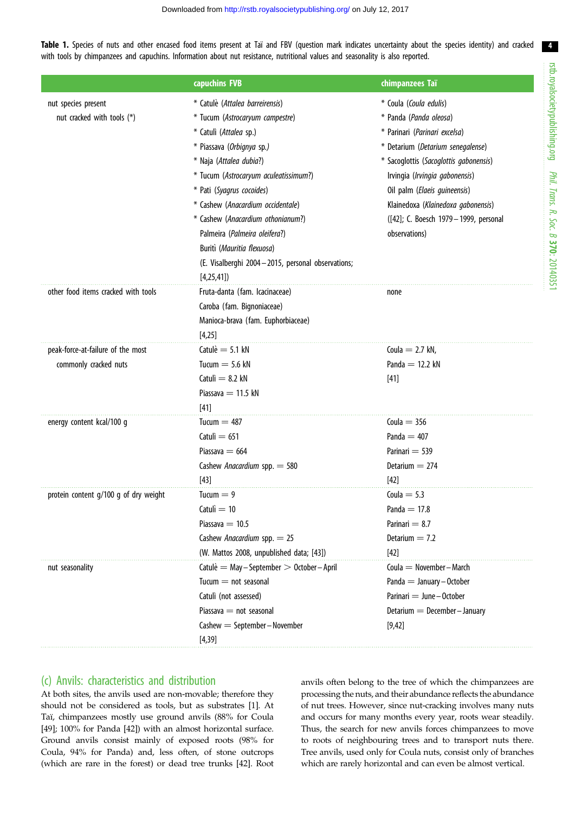<span id="page-3-0"></span>Table 1. Species of nuts and other encased food items present at Taï and FBV (question mark indicates uncertainty about the species identity) and cracked with tools by chimpanzees and capuchins. Information about nut resistance, nutritional values and seasonality is also reported.

|                                       | capuchins FVB                                        | chimpanzees Taï                        |
|---------------------------------------|------------------------------------------------------|----------------------------------------|
| nut species present                   | * Catulè (Attalea barreirensis)                      | * Coula (Coula edulis)                 |
| nut cracked with tools (*)            | * Tucum (Astrocaryum campestre)                      | * Panda (Panda oleosa)                 |
|                                       | * Catulì (Attalea sp.)                               | * Parinari (Parinari excelsa)          |
|                                       | * Piassava (Orbignya sp.)                            | * Detarium (Detarium senegalense)      |
|                                       | * Naja (Attalea dubia?)                              | * Sacoglottis (Sacoglottis gabonensis) |
|                                       | * Tucum (Astrocaryum aculeatissimum?)                | Irvingia (Irvingia gabonensis)         |
|                                       | * Pati (Syagrus cocoides)                            | Oil palm (Elaeis guineensis)           |
|                                       | * Cashew (Anacardium occidentale)                    | Klainedoxa (Klainedoxa gabonensis)     |
|                                       | * Cashew (Anacardium othonianum?)                    | ([42]; C. Boesch 1979-1999, personal   |
|                                       | Palmeira (Palmeira oleifera?)                        | observations)                          |
|                                       | Buritì (Mauritia flexuosa)                           |                                        |
|                                       | (E. Visalberghi 2004 - 2015, personal observations;  |                                        |
|                                       | [4,25,41]                                            |                                        |
| other food items cracked with tools   | Fruta-danta (fam. Icacinaceae)                       | none                                   |
|                                       | Caroba (fam. Bignoniaceae)                           |                                        |
|                                       | Manioca-brava (fam. Euphorbiaceae)                   |                                        |
|                                       | [4,25]                                               |                                        |
| peak-force-at-failure of the most     | Catulè $=$ 5.1 kN                                    | Coula $= 2.7$ kN,                      |
| commonly cracked nuts                 | Tucum $=$ 5.6 kN                                     | Panda $=$ 12.2 kN                      |
|                                       | Catuli $= 8.2$ kN                                    | $[41]$                                 |
|                                       | Piassava $= 11.5$ kN                                 |                                        |
|                                       | $[41]$                                               |                                        |
| energy content kcal/100 g             | Tucum $=$ 487                                        | Coula $=$ 356                          |
|                                       | Catuli $= 651$                                       | Panda $=$ 407                          |
|                                       | Piassava $= 664$                                     | Parinari $=$ 539                       |
|                                       | Cashew Anacardium spp. = 580                         | Detarium $= 274$                       |
|                                       | $[43]$                                               | $[42]$                                 |
| protein content g/100 g of dry weight | $Tucum = 9$                                          | Coula $= 5.3$                          |
|                                       | Catuli $=$ 10                                        | Panda $=$ 17.8                         |
|                                       | Piassava $= 10.5$                                    | Parinari $= 8.7$                       |
|                                       | Cashew Anacardium spp. $= 25$                        | Detarium $= 7.2$                       |
|                                       | (W. Mattos 2008, unpublished data; [43])             | $[42]$                                 |
| nut seasonality                       | Catulè $=$ May $-$ September $> 0$ ctober $-$ April  | Coula $=$ November $-$ March           |
|                                       | $Tucum = not seasonal$                               | $Panda = January - October$            |
|                                       | Catulì (not assessed)                                | Parinari $=$ June $-$ October          |
|                                       | Piassava $=$ not seasonal                            | Detarium $=$ December-January          |
|                                       | $\text{Cashew} = \text{September} - \text{November}$ | [9, 42]                                |
|                                       | [4, 39]                                              |                                        |

## (c) Anvils: characteristics and distribution

At both sites, the anvils used are non-movable; therefore they should not be considered as tools, but as substrates [\[1\]](#page-12-0). At Taï, chimpanzees mostly use ground anvils (88% for Coula [\[49](#page-13-0)]; 100% for Panda [[42\]](#page-13-0)) with an almost horizontal surface. Ground anvils consist mainly of exposed roots (98% for Coula, 94% for Panda) and, less often, of stone outcrops (which are rare in the forest) or dead tree trunks [[42](#page-13-0)]. Root anvils often belong to the tree of which the chimpanzees are processing the nuts, and their abundance reflects the abundance of nut trees. However, since nut-cracking involves many nuts and occurs for many months every year, roots wear steadily. Thus, the search for new anvils forces chimpanzees to move to roots of neighbouring trees and to transport nuts there. Tree anvils, used only for Coula nuts, consist only of branches which are rarely horizontal and can even be almost vertical.

4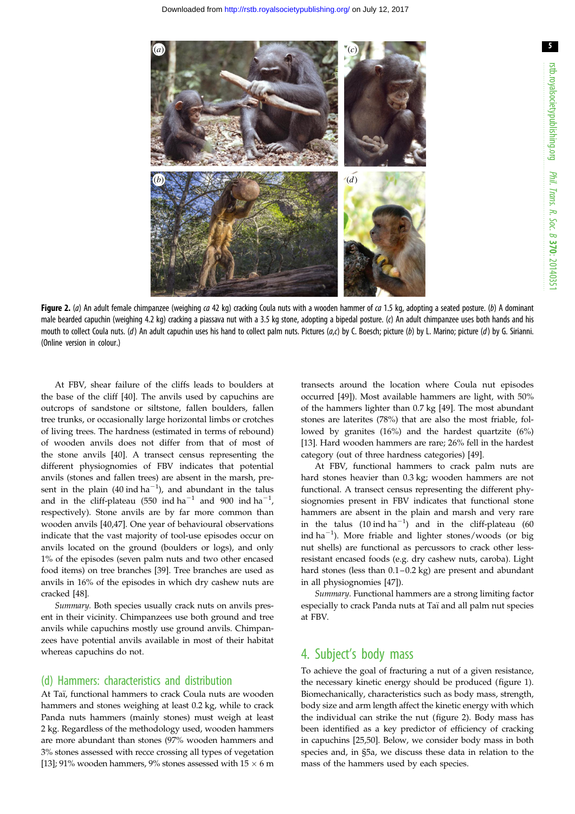<span id="page-4-0"></span>

Figure 2. (a) An adult female chimpanzee (weighing  $ca$  42 kg) cracking Coula nuts with a wooden hammer of  $ca$  1.5 kg, adopting a seated posture. (b) A dominant male bearded capuchin (weighing 4.2 kg) cracking a piassava nut with a 3.5 kg stone, adopting a bipedal posture. (c) An adult chimpanzee uses both hands and his mouth to collect Coula nuts. (d) An adult capuchin uses his hand to collect palm nuts. Pictures  $(a, c)$  by C. Boesch; picture (b) by L. Marino; picture (d) by G. Sirianni. (Online version in colour.)

At FBV, shear failure of the cliffs leads to boulders at the base of the cliff [\[40](#page-13-0)]. The anvils used by capuchins are outcrops of sandstone or siltstone, fallen boulders, fallen tree trunks, or occasionally large horizontal limbs or crotches of living trees. The hardness (estimated in terms of rebound) of wooden anvils does not differ from that of most of the stone anvils [[40\]](#page-13-0). A transect census representing the different physiognomies of FBV indicates that potential anvils (stones and fallen trees) are absent in the marsh, present in the plain  $(40 \text{ ind ha}^{-1})$ , and abundant in the talus and in the cliff-plateau (550 ind ha<sup>-1</sup> and 900 ind ha<sup>-1</sup>, respectively). Stone anvils are by far more common than wooden anvils [[40,47\]](#page-13-0). One year of behavioural observations indicate that the vast majority of tool-use episodes occur on anvils located on the ground (boulders or logs), and only 1% of the episodes (seven palm nuts and two other encased food items) on tree branches [[39\]](#page-13-0). Tree branches are used as anvils in 16% of the episodes in which dry cashew nuts are cracked [\[48](#page-13-0)].

Summary. Both species usually crack nuts on anvils present in their vicinity. Chimpanzees use both ground and tree anvils while capuchins mostly use ground anvils. Chimpanzees have potential anvils available in most of their habitat whereas capuchins do not.

#### (d) Hammers: characteristics and distribution

At Taï, functional hammers to crack Coula nuts are wooden hammers and stones weighing at least 0.2 kg, while to crack Panda nuts hammers (mainly stones) must weigh at least 2 kg. Regardless of the methodology used, wooden hammers are more abundant than stones (97% wooden hammers and 3% stones assessed with recce crossing all types of vegetation [\[13](#page-12-0)]; 91% wooden hammers, 9% stones assessed with 15  $\times$  6 m

transects around the location where Coula nut episodes occurred [[49\]](#page-13-0)). Most available hammers are light, with 50% of the hammers lighter than 0.7 kg [\[49](#page-13-0)]. The most abundant stones are laterites (78%) that are also the most friable, followed by granites (16%) and the hardest quartzite (6%) [[13\]](#page-12-0). Hard wooden hammers are rare; 26% fell in the hardest category (out of three hardness categories) [\[49](#page-13-0)].

At FBV, functional hammers to crack palm nuts are hard stones heavier than 0.3 kg; wooden hammers are not functional. A transect census representing the different physiognomies present in FBV indicates that functional stone hammers are absent in the plain and marsh and very rare in the talus  $(10 \text{ ind ha}^{-1})$  and in the cliff-plateau  $(60 \text{ mod})$ ind ha<sup>-1</sup>). More friable and lighter stones/woods (or big nut shells) are functional as percussors to crack other lessresistant encased foods (e.g. dry cashew nuts, caroba). Light hard stones (less than 0.1–0.2 kg) are present and abundant in all physiognomies [[47\]](#page-13-0)).

Summary. Functional hammers are a strong limiting factor especially to crack Panda nuts at Taï and all palm nut species at FBV.

## 4. Subject's body mass

To achieve the goal of fracturing a nut of a given resistance, the necessary kinetic energy should be produced ([figure 1\)](#page-1-0). Biomechanically, characteristics such as body mass, strength, body size and arm length affect the kinetic energy with which the individual can strike the nut (figure 2). Body mass has been identified as a key predictor of efficiency of cracking in capuchins [\[25](#page-12-0),[50\]](#page-13-0). Below, we consider body mass in both species and, in §5a, we discuss these data in relation to the mass of the hammers used by each species.

5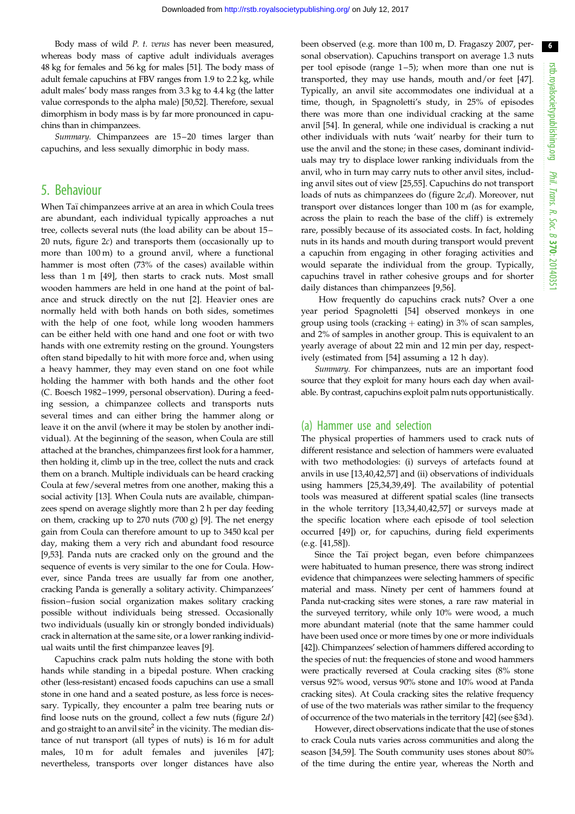Body mass of wild P. t. verus has never been measured, whereas body mass of captive adult individuals averages 48 kg for females and 56 kg for males [\[51\]](#page-13-0). The body mass of adult female capuchins at FBV ranges from 1.9 to 2.2 kg, while adult males' body mass ranges from 3.3 kg to 4.4 kg (the latter value corresponds to the alpha male) [\[50,52\]](#page-13-0). Therefore, sexual dimorphism in body mass is by far more pronounced in capuchins than in chimpanzees.

Summary. Chimpanzees are 15-20 times larger than capuchins, and less sexually dimorphic in body mass.

# 5. Behaviour

When Taï chimpanzees arrive at an area in which Coula trees are abundant, each individual typically approaches a nut tree, collects several nuts (the load ability can be about 15 – 20 nuts, [figure 2](#page-4-0)c) and transports them (occasionally up to more than 100 m) to a ground anvil, where a functional hammer is most often (73% of the cases) available within less than 1 m [[49\]](#page-13-0), then starts to crack nuts. Most small wooden hammers are held in one hand at the point of balance and struck directly on the nut [\[2\]](#page-12-0). Heavier ones are normally held with both hands on both sides, sometimes with the help of one foot, while long wooden hammers can be either held with one hand and one foot or with two hands with one extremity resting on the ground. Youngsters often stand bipedally to hit with more force and, when using a heavy hammer, they may even stand on one foot while holding the hammer with both hands and the other foot (C. Boesch 1982 – 1999, personal observation). During a feeding session, a chimpanzee collects and transports nuts several times and can either bring the hammer along or leave it on the anvil (where it may be stolen by another individual). At the beginning of the season, when Coula are still attached at the branches, chimpanzees first look for a hammer, then holding it, climb up in the tree, collect the nuts and crack them on a branch. Multiple individuals can be heard cracking Coula at few/several metres from one another, making this a social activity [\[13](#page-12-0)]. When Coula nuts are available, chimpanzees spend on average slightly more than 2 h per day feeding on them, cracking up to 270 nuts (700 g) [[9](#page-12-0)]. The net energy gain from Coula can therefore amount to up to 3450 kcal per day, making them a very rich and abundant food resource [\[9,](#page-12-0)[53](#page-13-0)]. Panda nuts are cracked only on the ground and the sequence of events is very similar to the one for Coula. However, since Panda trees are usually far from one another, cracking Panda is generally a solitary activity. Chimpanzees' fission–fusion social organization makes solitary cracking possible without individuals being stressed. Occasionally two individuals (usually kin or strongly bonded individuals) crack in alternation at the same site, or a lower ranking individual waits until the first chimpanzee leaves [\[9\]](#page-12-0).

Capuchins crack palm nuts holding the stone with both hands while standing in a bipedal posture. When cracking other (less-resistant) encased foods capuchins can use a small stone in one hand and a seated posture, as less force is necessary. Typically, they encounter a palm tree bearing nuts or find loose nuts on the ground, collect a few nuts ([figure 2](#page-4-0)d) and go straight to an anvil site<sup>2</sup> in the vicinity. The median distance of nut transport (all types of nuts) is 16 m for adult males, 10 m for adult females and juveniles [\[47](#page-13-0)]; nevertheless, transports over longer distances have also

been observed (e.g. more than 100 m, D. Fragaszy 2007, personal observation). Capuchins transport on average 1.3 nuts per tool episode (range 1–5); when more than one nut is transported, they may use hands, mouth and/or feet [[47\]](#page-13-0). Typically, an anvil site accommodates one individual at a time, though, in Spagnoletti's study, in 25% of episodes there was more than one individual cracking at the same anvil [[54\]](#page-13-0). In general, while one individual is cracking a nut other individuals with nuts 'wait' nearby for their turn to use the anvil and the stone; in these cases, dominant individuals may try to displace lower ranking individuals from the anvil, who in turn may carry nuts to other anvil sites, including anvil sites out of view [\[25](#page-12-0)[,55](#page-13-0)]. Capuchins do not transport loads of nuts as chimpanzees do (figure  $2c,d$ ). Moreover, nut transport over distances longer than 100 m (as for example, across the plain to reach the base of the cliff) is extremely rare, possibly because of its associated costs. In fact, holding nuts in its hands and mouth during transport would prevent a capuchin from engaging in other foraging activities and would separate the individual from the group. Typically, capuchins travel in rather cohesive groups and for shorter daily distances than chimpanzees [\[9,](#page-12-0)[56](#page-13-0)].

How frequently do capuchins crack nuts? Over a one year period Spagnoletti [\[54](#page-13-0)] observed monkeys in one group using tools (cracking  $+$  eating) in 3% of scan samples, and 2% of samples in another group. This is equivalent to an yearly average of about 22 min and 12 min per day, respectively (estimated from [[54\]](#page-13-0) assuming a 12 h day).

Summary. For chimpanzees, nuts are an important food source that they exploit for many hours each day when available. By contrast, capuchins exploit palm nuts opportunistically.

#### (a) Hammer use and selection

The physical properties of hammers used to crack nuts of different resistance and selection of hammers were evaluated with two methodologies: (i) surveys of artefacts found at anvils in use [[13,](#page-12-0)[40,42,57](#page-13-0)] and (ii) observations of individuals using hammers [\[25](#page-12-0),[34,39,49](#page-13-0)]. The availability of potential tools was measured at different spatial scales (line transects in the whole territory [[13](#page-12-0)[,34,40](#page-13-0),[42,57\]](#page-13-0) or surveys made at the specific location where each episode of tool selection occurred [[49\]](#page-13-0)) or, for capuchins, during field experiments (e.g. [\[41](#page-13-0),[58\]](#page-13-0)).

Since the Taï project began, even before chimpanzees were habituated to human presence, there was strong indirect evidence that chimpanzees were selecting hammers of specific material and mass. Ninety per cent of hammers found at Panda nut-cracking sites were stones, a rare raw material in the surveyed territory, while only 10% were wood, a much more abundant material (note that the same hammer could have been used once or more times by one or more individuals [[42](#page-13-0)]). Chimpanzees' selection of hammers differed according to the species of nut: the frequencies of stone and wood hammers were practically reversed at Coula cracking sites (8% stone versus 92% wood, versus 90% stone and 10% wood at Panda cracking sites). At Coula cracking sites the relative frequency of use of the two materials was rather similar to the frequency of occurrence of the two materials in the territory [\[42](#page-13-0)] (see §3d ).

However, direct observations indicate that the use of stones to crack Coula nuts varies across communities and along the season [[34,59\]](#page-13-0). The South community uses stones about 80% of the time during the entire year, whereas the North and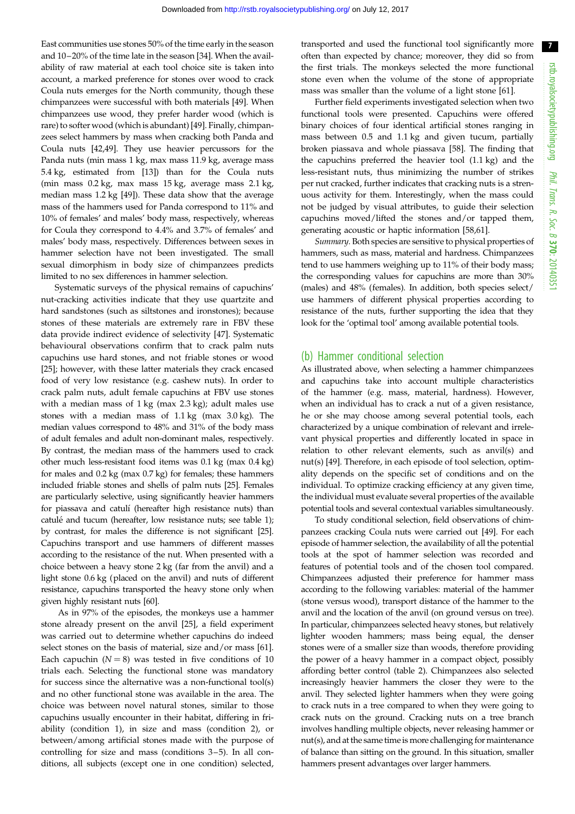East communities use stones 50% of the time early in the season and 10–20% of the time late in the season [\[34](#page-13-0)]. When the availability of raw material at each tool choice site is taken into account, a marked preference for stones over wood to crack Coula nuts emerges for the North community, though these chimpanzees were successful with both materials [\[49](#page-13-0)]. When chimpanzees use wood, they prefer harder wood (which is rare) to softer wood (which is abundant) [\[49](#page-13-0)]. Finally, chimpanzees select hammers by mass when cracking both Panda and Coula nuts [\[42,49](#page-13-0)]. They use heavier percussors for the Panda nuts (min mass 1 kg, max mass 11.9 kg, average mass 5.4 kg, estimated from [[13\]](#page-12-0)) than for the Coula nuts (min mass 0.2 kg, max mass 15 kg, average mass 2.1 kg, median mass 1.2 kg [\[49](#page-13-0)]). These data show that the average mass of the hammers used for Panda correspond to 11% and 10% of females' and males' body mass, respectively, whereas for Coula they correspond to 4.4% and 3.7% of females' and males' body mass, respectively. Differences between sexes in hammer selection have not been investigated. The small sexual dimorphism in body size of chimpanzees predicts limited to no sex differences in hammer selection.

Systematic surveys of the physical remains of capuchins' nut-cracking activities indicate that they use quartzite and hard sandstones (such as siltstones and ironstones); because stones of these materials are extremely rare in FBV these data provide indirect evidence of selectivity [\[47](#page-13-0)]. Systematic behavioural observations confirm that to crack palm nuts capuchins use hard stones, and not friable stones or wood [\[25](#page-12-0)]; however, with these latter materials they crack encased food of very low resistance (e.g. cashew nuts). In order to crack palm nuts, adult female capuchins at FBV use stones with a median mass of 1 kg (max 2.3 kg); adult males use stones with a median mass of 1.1 kg (max 3.0 kg). The median values correspond to 48% and 31% of the body mass of adult females and adult non-dominant males, respectively. By contrast, the median mass of the hammers used to crack other much less-resistant food items was 0.1 kg (max 0.4 kg) for males and 0.2 kg (max 0.7 kg) for females; these hammers included friable stones and shells of palm nuts [\[25\]](#page-12-0). Females are particularly selective, using significantly heavier hammers for piassava and catulí (hereafter high resistance nuts) than catulé and tucum (hereafter, low resistance nuts; see [table 1](#page-3-0)); by contrast, for males the difference is not significant [[25](#page-12-0)]. Capuchins transport and use hammers of different masses according to the resistance of the nut. When presented with a choice between a heavy stone 2 kg (far from the anvil) and a light stone 0.6 kg (placed on the anvil) and nuts of different resistance, capuchins transported the heavy stone only when given highly resistant nuts [\[60](#page-13-0)].

As in 97% of the episodes, the monkeys use a hammer stone already present on the anvil [[25\]](#page-12-0), a field experiment was carried out to determine whether capuchins do indeed select stones on the basis of material, size and/or mass [\[61](#page-13-0)]. Each capuchin  $(N = 8)$  was tested in five conditions of 10 trials each. Selecting the functional stone was mandatory for success since the alternative was a non-functional tool(s) and no other functional stone was available in the area. The choice was between novel natural stones, similar to those capuchins usually encounter in their habitat, differing in friability (condition 1), in size and mass (condition 2), or between/among artificial stones made with the purpose of controlling for size and mass (conditions 3–5). In all conditions, all subjects (except one in one condition) selected, transported and used the functional tool significantly more often than expected by chance; moreover, they did so from the first trials. The monkeys selected the more functional stone even when the volume of the stone of appropriate mass was smaller than the volume of a light stone [[61\]](#page-13-0).

Further field experiments investigated selection when two functional tools were presented. Capuchins were offered binary choices of four identical artificial stones ranging in mass between 0.5 and 1.1 kg and given tucum, partially broken piassava and whole piassava [\[58](#page-13-0)]. The finding that the capuchins preferred the heavier tool (1.1 kg) and the less-resistant nuts, thus minimizing the number of strikes per nut cracked, further indicates that cracking nuts is a strenuous activity for them. Interestingly, when the mass could not be judged by visual attributes, to guide their selection capuchins moved/lifted the stones and/or tapped them, generating acoustic or haptic information [\[58,61](#page-13-0)].

Summary. Both species are sensitive to physical properties of hammers, such as mass, material and hardness. Chimpanzees tend to use hammers weighing up to 11% of their body mass; the corresponding values for capuchins are more than 30% (males) and 48% (females). In addition, both species select/ use hammers of different physical properties according to resistance of the nuts, further supporting the idea that they look for the 'optimal tool' among available potential tools.

### (b) Hammer conditional selection

As illustrated above, when selecting a hammer chimpanzees and capuchins take into account multiple characteristics of the hammer (e.g. mass, material, hardness). However, when an individual has to crack a nut of a given resistance, he or she may choose among several potential tools, each characterized by a unique combination of relevant and irrelevant physical properties and differently located in space in relation to other relevant elements, such as anvil(s) and nut(s) [\[49](#page-13-0)]. Therefore, in each episode of tool selection, optimality depends on the specific set of conditions and on the individual. To optimize cracking efficiency at any given time, the individual must evaluate several properties of the available potential tools and several contextual variables simultaneously.

To study conditional selection, field observations of chimpanzees cracking Coula nuts were carried out [[49\]](#page-13-0). For each episode of hammer selection, the availability of all the potential tools at the spot of hammer selection was recorded and features of potential tools and of the chosen tool compared. Chimpanzees adjusted their preference for hammer mass according to the following variables: material of the hammer (stone versus wood), transport distance of the hammer to the anvil and the location of the anvil (on ground versus on tree). In particular, chimpanzees selected heavy stones, but relatively lighter wooden hammers; mass being equal, the denser stones were of a smaller size than woods, therefore providing the power of a heavy hammer in a compact object, possibly affording better control ([table 2\)](#page-7-0). Chimpanzees also selected increasingly heavier hammers the closer they were to the anvil. They selected lighter hammers when they were going to crack nuts in a tree compared to when they were going to crack nuts on the ground. Cracking nuts on a tree branch involves handling multiple objects, never releasing hammer or nut(s), and at the same time is more challenging for maintenance of balance than sitting on the ground. In this situation, smaller hammers present advantages over larger hammers.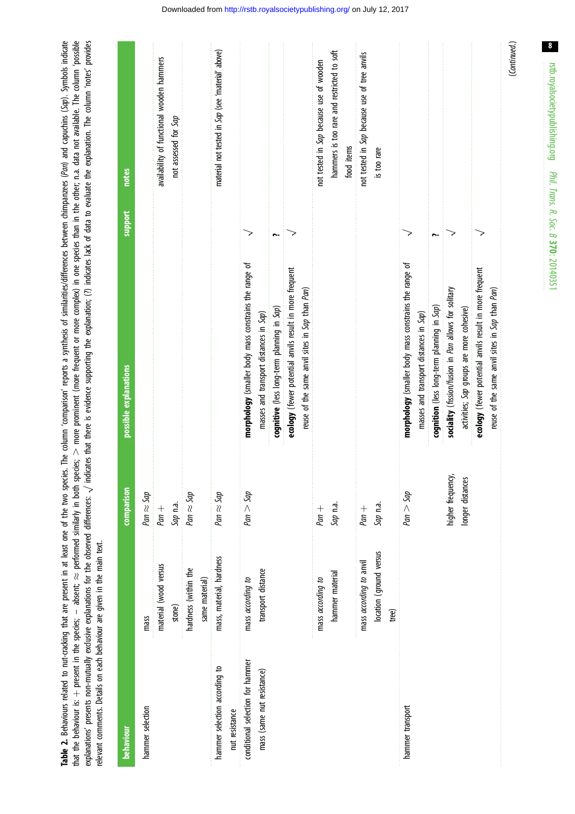<span id="page-7-0"></span>Table 2. Behaviours related to nut-cracking that are present in at least one of the two species. The column 'comparison' reports a synthesis of similarities/differences between chimpanzees (Pan) and capuchins (Sap). Symbol explanations' presents non-mutually exclusive explanations for the observed differences:  $\sqrt$  indicates that there is evidence supporting the explanation; (?) indicates lack of data to evaluate the explanation. The column that the behaviour is: + present in the species;  $-$  absent;  $\approx$  performed similarly in both species;  $>$  more prominent (more frequent or more complex) in one species than in the other; n.a. data not available. The colu Table 2. Behaviours related to nut-cracking that are present in at least one of the two species. The column "comparison" reports a synthesis of similarities/differences between chimpanzees (Pan) and capuchins Symbols indic that the behaviour in the species;  $\sim$  performed similarly in both species;  $\gt$  more prominent (more frequent or more complex) in one species than in the other; n.a. data not available. The column (possible explanations' presents non-mutually exclusive explanations for the observed differences:  $\sqrt$  indicates that there is evidence supporting the explanation; (?) indicates lack of data to evaluate the explanation. The column relevant comments. Details on each behaviour are given in the main text. relevant comments. Details on each behaviour are given in the main text.

| behaviour                        |                          | comparison        | possible explanations                                   | support | <b>notes</b>                                      |
|----------------------------------|--------------------------|-------------------|---------------------------------------------------------|---------|---------------------------------------------------|
| hammer selection                 | mass                     | Pan $\approx$ Sap |                                                         |         |                                                   |
|                                  | material (wood versus    | $Pan +$           |                                                         |         | availability of functional wooden hammers         |
|                                  | stone)                   | Sap n.a.          |                                                         |         | not assessed for Sap                              |
|                                  | hardness (within the     | Pan $\approx$ Sap |                                                         |         |                                                   |
|                                  | same material)           |                   |                                                         |         |                                                   |
| hammer selection according to    | mass, material, hardness | Pan $\approx$ Sap |                                                         |         | material not tested in Sap (see 'material' above) |
| nut resistance                   |                          |                   |                                                         |         |                                                   |
| conditional selection for hammer | mass according to        | $Pan >$ Sap       | morphology (smaller body mass constrains the range of   |         |                                                   |
| mass (same nut resistance)       | transport distance       |                   | masses and transport distances in Sap)                  |         |                                                   |
|                                  |                          |                   | cognitive (less long-term planning in Sap)              | r.      |                                                   |
|                                  |                          |                   | ecology (fewer potential anvils result in more frequent |         |                                                   |
|                                  |                          |                   | reuse of the same anvil sites in Sap than Pan)          |         |                                                   |
|                                  | mass according to        | $Pan +$           |                                                         |         | not tested in Sap because use of wooden           |
|                                  | hammer material          | Sap n.a.          |                                                         |         | hammers is too rare and restricted to soft        |
|                                  |                          |                   |                                                         |         | food items                                        |
|                                  | mass according to anvil  | $Pan +$           |                                                         |         | not tested in Sap because use of tree anvils      |
|                                  | location (ground versus  | Sap n.a.          |                                                         |         | is too rare                                       |
|                                  | tree)                    |                   |                                                         |         |                                                   |
| hammer transport                 |                          | $Pan >$ Sap       | morphology (smaller body mass constrains the range of   |         |                                                   |
|                                  |                          |                   | masses and transport distances in Sap)                  |         |                                                   |
|                                  |                          |                   | cognition (less long-term planning in Sap)              |         |                                                   |
|                                  |                          | higher frequency, | sociality (fission/fusion in Pan allows for solitary    |         |                                                   |
|                                  |                          | longer distances  | activities; Sap groups are more cohesive)               |         |                                                   |
|                                  |                          |                   | ecology (fewer potential anvils result in more frequent |         |                                                   |
|                                  |                          |                   | reuse of the same anvil sites in Sap than Pan)          |         |                                                   |
|                                  |                          |                   |                                                         |         | (Continued.)                                      |

 $\boldsymbol{8}$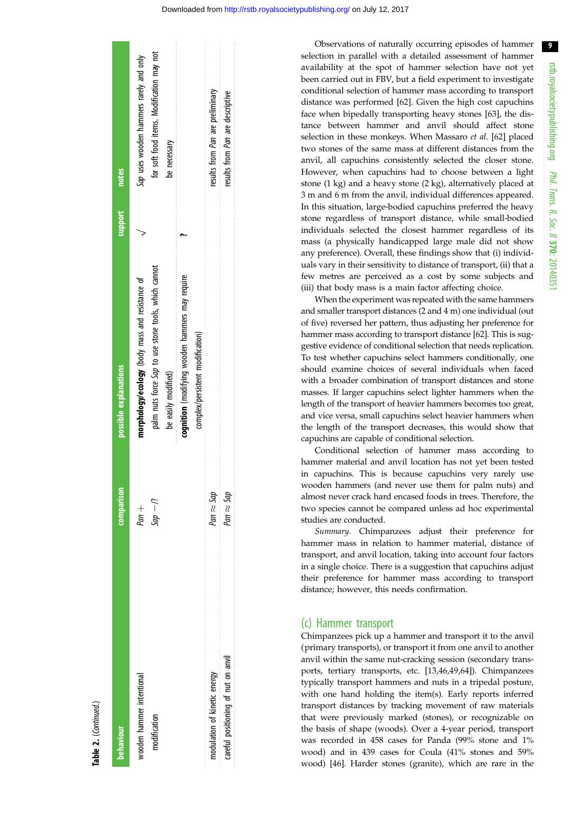Table 2. (Continued.)

| behaviour                           | comparison         | possible explanations                                | support | notes                                                 |
|-------------------------------------|--------------------|------------------------------------------------------|---------|-------------------------------------------------------|
| wooden hammer intentional           | $Pan +$            | morphology/ecology (body mass and resistance of      |         | Sap uses wooden hammers rarely and only               |
| modification                        | $i/-$ dbs          | palm nuts force Sap to use stone tools, which cannot |         | for soft food items. Modification may not             |
|                                     |                    | be easily modified)                                  |         | be necessary                                          |
|                                     |                    | cognition (modifying wooden hammers may require      |         | 医皮肤病毒 医皮肤病毒 医白色 医白色性白血素 医血管性白血素 医血管血清 医血管性白血清 医血管性白血症 |
|                                     |                    | complex/persistent modification)                     |         |                                                       |
| modulation of kinetic energy        | $q p \approx 5$ ap |                                                      |         | results from Pan are preliminary                      |
| careful positioning of nut on anvil | Pan $\approx$ Sap  |                                                      |         | results from <i>Pan</i> are descriptive               |
|                                     |                    |                                                      |         |                                                       |

Observations of naturally occurring episodes of hammer selection in parallel with a detailed assessment of hammer availability at the spot of hammer selection have not yet been carried out in FBV, but a field experiment to investigate conditional selection of hammer mass according to transport distance was performed [[62\]](#page-13-0). Given the high cost capuchins face when bipedally transporting heavy stones [\[63](#page-13-0)], the distance between hammer and anvil should affect stone selection in these monkeys. When Massaro et al. [[62\]](#page-13-0) placed two stones of the same mass at different distances from the anvil, all capuchins consistently selected the closer stone. However, when capuchins had to choose between a light stone (1 kg) and a heavy stone (2 kg), alternatively placed at 3 m and 6 m from the anvil, individual differences appeared. In this situation, large-bodied capuchins preferred the heavy stone regardless of transport distance, while small-bodied individuals selected the closest hammer regardless of its mass (a physically handicapped large male did not show any preference). Overall, these findings show that (i) individuals vary in their sensitivity to distance of transport, (ii) that a few metres are perceived as a cost by some subjects and (iii) that body mass is a main factor affecting choice.

When the experiment was repeated with the same hammers and smaller transport distances (2 and 4 m) one individual (out of five) reversed her pattern, thus adjusting her preference for hammer mass according to transport distance [[62\]](#page-13-0). This is suggestive evidence of conditional selection that needs replication. To test whether capuchins select hammers conditionally, one should examine choices of several individuals when faced with a broader combination of transport distances and stone masses. If larger capuchins select lighter hammers when the length of the transport of heavier hammers becomes too great, and vice versa, small capuchins select heavier hammers when the length of the transport decreases, this would show that capuchins are capable of conditional selection.

Conditional selection of hammer mass according to hammer material and anvil location has not yet been tested in capuchins. This is because capuchins very rarely use wooden hammers (and never use them for palm nuts) and almost never crack hard encased foods in trees. Therefore, the two species cannot be compared unless ad hoc experimental studies are conducted.

Summary. Chimpanzees adjust their preference for hammer mass in relation to hammer material, distance of transport, and anvil location, taking into account four factors in a single choice. There is a suggestion that capuchins adjust their preference for hammer mass according to transport distance; however, this needs confirmation.

#### (c) Hammer transport

Chimpanzees pick up a hammer and transport it to the anvil (primary transports), or transport it from one anvil to another anvil within the same nut-cracking session (secondary transports, tertiary transports, etc. [\[13](#page-12-0)[,46](#page-13-0),[49,64\]](#page-13-0)). Chimpanzees typically transport hammers and nuts in a tripedal posture, with one hand holding the item(s). Early reports inferred transport distances by tracking movement of raw materials that were previously marked (stones), or recognizable on the basis of shape (woods). Over a 4-year period, transport was recorded in 458 cases for Panda (99% stone and 1% wood) and in 439 cases for Coula (41% stones and 59% wood) [\[46](#page-13-0)]. Harder stones (granite), which are rare in the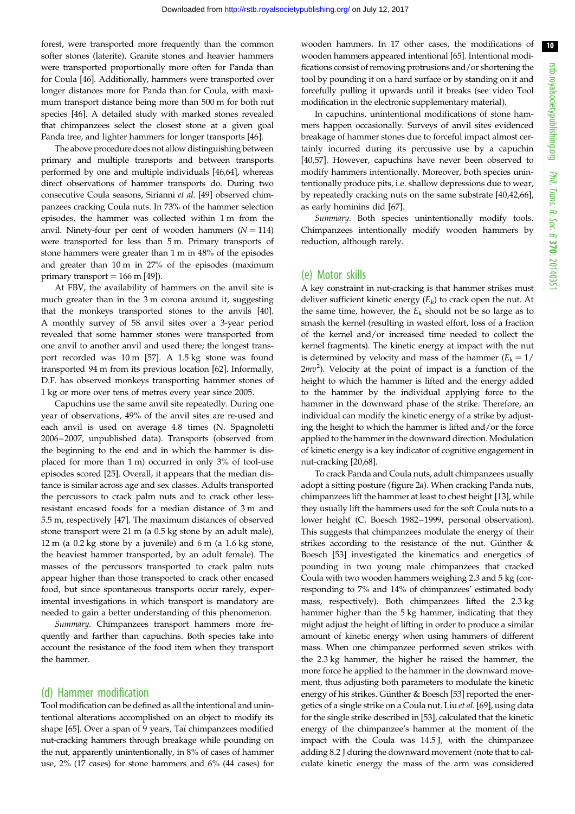forest, were transported more frequently than the common softer stones (laterite). Granite stones and heavier hammers were transported proportionally more often for Panda than for Coula [\[46](#page-13-0)]. Additionally, hammers were transported over longer distances more for Panda than for Coula, with maximum transport distance being more than 500 m for both nut species [[46\]](#page-13-0). A detailed study with marked stones revealed that chimpanzees select the closest stone at a given goal Panda tree, and lighter hammers for longer transports [[46\]](#page-13-0).

The above procedure does not allow distinguishing between primary and multiple transports and between transports performed by one and multiple individuals [\[46,64\]](#page-13-0), whereas direct observations of hammer transports do. During two consecutive Coula seasons, Sirianni et al. [\[49](#page-13-0)] observed chimpanzees cracking Coula nuts. In 73% of the hammer selection episodes, the hammer was collected within 1 m from the anvil. Ninety-four per cent of wooden hammers  $(N = 114)$ were transported for less than 5 m. Primary transports of stone hammers were greater than 1 m in 48% of the episodes and greater than 10 m in 27% of the episodes (maximum primary transport  $= 166$  m [[49](#page-13-0)]).

At FBV, the availability of hammers on the anvil site is much greater than in the 3 m corona around it, suggesting that the monkeys transported stones to the anvils [\[40](#page-13-0)]. A monthly survey of 58 anvil sites over a 3-year period revealed that some hammer stones were transported from one anvil to another anvil and used there; the longest transport recorded was 10 m [[57\]](#page-13-0). A 1.5 kg stone was found transported 94 m from its previous location [[62](#page-13-0)]. Informally, D.F. has observed monkeys transporting hammer stones of 1 kg or more over tens of metres every year since 2005.

Capuchins use the same anvil site repeatedly. During one year of observations, 49% of the anvil sites are re-used and each anvil is used on average 4.8 times (N. Spagnoletti 2006–2007, unpublished data). Transports (observed from the beginning to the end and in which the hammer is displaced for more than 1 m) occurred in only 3% of tool-use episodes scored [[25\]](#page-12-0). Overall, it appears that the median distance is similar across age and sex classes. Adults transported the percussors to crack palm nuts and to crack other lessresistant encased foods for a median distance of 3 m and 5.5 m, respectively [\[47](#page-13-0)]. The maximum distances of observed stone transport were 21 m (a 0.5 kg stone by an adult male), 12 m (a 0.2 kg stone by a juvenile) and 6 m (a 1.6 kg stone, the heaviest hammer transported, by an adult female). The masses of the percussors transported to crack palm nuts appear higher than those transported to crack other encased food, but since spontaneous transports occur rarely, experimental investigations in which transport is mandatory are needed to gain a better understanding of this phenomenon.

Summary. Chimpanzees transport hammers more frequently and farther than capuchins. Both species take into account the resistance of the food item when they transport the hammer.

#### (d) Hammer modification

Tool modification can be defined as all the intentional and unintentional alterations accomplished on an object to modify its shape [[65](#page-13-0)]. Over a span of 9 years, Taï chimpanzees modified nut-cracking hammers through breakage while pounding on the nut, apparently unintentionally, in 8% of cases of hammer use, 2% (17 cases) for stone hammers and 6% (44 cases) for

wooden hammers. In 17 other cases, the modifications of wooden hammers appeared intentional [\[65\]](#page-13-0). Intentional modifications consist of removing protrusions and/or shortening the tool by pounding it on a hard surface or by standing on it and forcefully pulling it upwards until it breaks (see video Tool modification in the electronic supplementary material).

In capuchins, unintentional modifications of stone hammers happen occasionally. Surveys of anvil sites evidenced breakage of hammer stones due to forceful impact almost certainly incurred during its percussive use by a capuchin [[40,57\]](#page-13-0). However, capuchins have never been observed to modify hammers intentionally. Moreover, both species unintentionally produce pits, i.e. shallow depressions due to wear, by repeatedly cracking nuts on the same substrate [\[40,42](#page-13-0),[66\]](#page-13-0), as early hominins did [\[67](#page-13-0)].

Summary. Both species unintentionally modify tools. Chimpanzees intentionally modify wooden hammers by reduction, although rarely.

#### (e) Motor skills

A key constraint in nut-cracking is that hammer strikes must deliver sufficient kinetic energy  $(E_k)$  to crack open the nut. At the same time, however, the  $E_k$  should not be so large as to smash the kernel (resulting in wasted effort, loss of a fraction of the kernel and/or increased time needed to collect the kernel fragments). The kinetic energy at impact with the nut is determined by velocity and mass of the hammer  $(E_k = 1/$  $2mv^2$ ). Velocity at the point of impact is a function of the height to which the hammer is lifted and the energy added to the hammer by the individual applying force to the hammer in the downward phase of the strike. Therefore, an individual can modify the kinetic energy of a strike by adjusting the height to which the hammer is lifted and/or the force applied to the hammer in the downward direction. Modulation of kinetic energy is a key indicator of cognitive engagement in nut-cracking [\[20](#page-12-0)[,68\]](#page-14-0).

To crack Panda and Coula nuts, adult chimpanzees usually adopt a sitting posture ([figure 2](#page-4-0)a). When cracking Panda nuts, chimpanzees lift the hammer at least to chest height [\[13](#page-12-0)], while they usually lift the hammers used for the soft Coula nuts to a lower height (C. Boesch 1982–1999, personal observation). This suggests that chimpanzees modulate the energy of their strikes according to the resistance of the nut. Günther  $&$ Boesch [\[53](#page-13-0)] investigated the kinematics and energetics of pounding in two young male chimpanzees that cracked Coula with two wooden hammers weighing 2.3 and 5 kg (corresponding to 7% and 14% of chimpanzees' estimated body mass, respectively). Both chimpanzees lifted the 2.3 kg hammer higher than the 5 kg hammer, indicating that they might adjust the height of lifting in order to produce a similar amount of kinetic energy when using hammers of different mass. When one chimpanzee performed seven strikes with the 2.3 kg hammer, the higher he raised the hammer, the more force he applied to the hammer in the downward movement, thus adjusting both parameters to modulate the kinetic energy of his strikes. Günther & Boesch [\[53](#page-13-0)] reported the energetics of a single strike on a Coula nut. Liu et al. [[69](#page-14-0)], using data for the single strike described in [[53\]](#page-13-0), calculated that the kinetic energy of the chimpanzee's hammer at the moment of the impact with the Coula was 14.5 J, with the chimpanzee adding 8.2 J during the downward movement (note that to calculate kinetic energy the mass of the arm was considered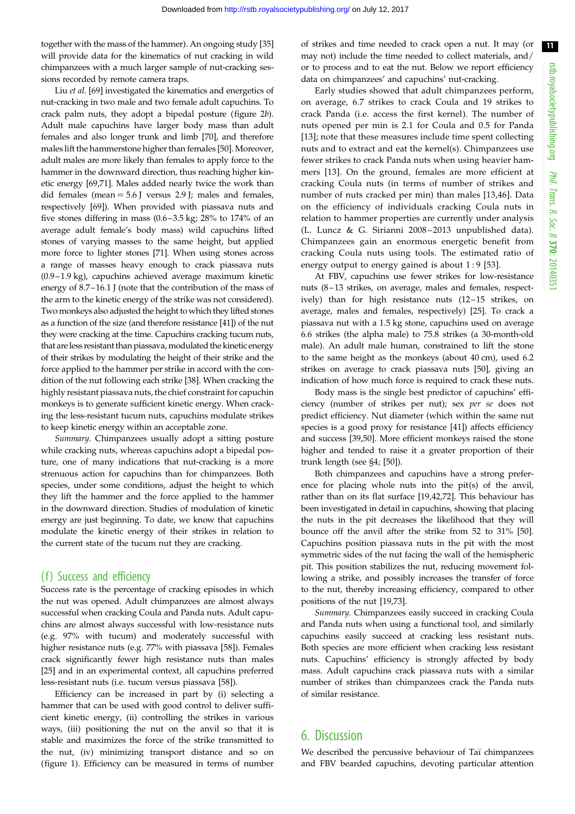together with the mass of the hammer). An ongoing study [[35\]](#page-13-0) will provide data for the kinematics of nut cracking in wild chimpanzees with a much larger sample of nut-cracking sessions recorded by remote camera traps.

Liu et al. [[69\]](#page-14-0) investigated the kinematics and energetics of nut-cracking in two male and two female adult capuchins. To crack palm nuts, they adopt a bipedal posture ([figure 2](#page-4-0)b). Adult male capuchins have larger body mass than adult females and also longer trunk and limb [\[70](#page-14-0)], and therefore males lift the hammerstone higher than females [[50\]](#page-13-0). Moreover, adult males are more likely than females to apply force to the hammer in the downward direction, thus reaching higher kinetic energy [\[69,71](#page-14-0)]. Males added nearly twice the work than did females (mean  $= 5.6$  J versus 2.9 J; males and females, respectively [\[69](#page-14-0)]). When provided with piassava nuts and five stones differing in mass (0.6–3.5 kg; 28% to 174% of an average adult female's body mass) wild capuchins lifted stones of varying masses to the same height, but applied more force to lighter stones [\[71](#page-14-0)]. When using stones across a range of masses heavy enough to crack piassava nuts (0.9–1.9 kg), capuchins achieved average maximum kinetic energy of 8.7–16.1 J (note that the contribution of the mass of the arm to the kinetic energy of the strike was not considered). Two monkeys also adjusted the height to which they lifted stones as a function of the size (and therefore resistance [\[41\]](#page-13-0)) of the nut they were cracking at the time. Capuchins cracking tucum nuts, that are less resistant than piassava, modulated the kinetic energy of their strikes by modulating the height of their strike and the force applied to the hammer per strike in accord with the condition of the nut following each strike [\[38](#page-13-0)]. When cracking the highly resistant piassava nuts, the chief constraint for capuchin monkeys is to generate sufficient kinetic energy. When cracking the less-resistant tucum nuts, capuchins modulate strikes to keep kinetic energy within an acceptable zone.

Summary. Chimpanzees usually adopt a sitting posture while cracking nuts, whereas capuchins adopt a bipedal posture, one of many indications that nut-cracking is a more strenuous action for capuchins than for chimpanzees. Both species, under some conditions, adjust the height to which they lift the hammer and the force applied to the hammer in the downward direction. Studies of modulation of kinetic energy are just beginning. To date, we know that capuchins modulate the kinetic energy of their strikes in relation to the current state of the tucum nut they are cracking.

#### (f) Success and efficiency

Success rate is the percentage of cracking episodes in which the nut was opened. Adult chimpanzees are almost always successful when cracking Coula and Panda nuts. Adult capuchins are almost always successful with low-resistance nuts (e.g. 97% with tucum) and moderately successful with higher resistance nuts (e.g. 77% with piassava [[58\]](#page-13-0)). Females crack significantly fewer high resistance nuts than males [\[25](#page-12-0)] and in an experimental context, all capuchins preferred less-resistant nuts (i.e. tucum versus piassava [\[58](#page-13-0)]).

Efficiency can be increased in part by (i) selecting a hammer that can be used with good control to deliver sufficient kinetic energy, (ii) controlling the strikes in various ways, (iii) positioning the nut on the anvil so that it is stable and maximizes the force of the strike transmitted to the nut, (iv) minimizing transport distance and so on [\(figure 1\)](#page-1-0). Efficiency can be measured in terms of number

of strikes and time needed to crack open a nut. It may (or may not) include the time needed to collect materials, and/ or to process and to eat the nut. Below we report efficiency data on chimpanzees' and capuchins' nut-cracking.

Early studies showed that adult chimpanzees perform, on average, 6.7 strikes to crack Coula and 19 strikes to crack Panda (i.e. access the first kernel). The number of nuts opened per min is 2.1 for Coula and 0.5 for Panda [[13](#page-12-0)]; note that these measures include time spent collecting nuts and to extract and eat the kernel(s). Chimpanzees use fewer strikes to crack Panda nuts when using heavier hammers [\[13\]](#page-12-0). On the ground, females are more efficient at cracking Coula nuts (in terms of number of strikes and number of nuts cracked per min) than males [[13](#page-12-0),[46\]](#page-13-0). Data on the efficiency of individuals cracking Coula nuts in relation to hammer properties are currently under analysis (L. Luncz & G. Sirianni 2008 – 2013 unpublished data). Chimpanzees gain an enormous energetic benefit from cracking Coula nuts using tools. The estimated ratio of energy output to energy gained is about 1 : 9 [[53](#page-13-0)].

At FBV, capuchins use fewer strikes for low-resistance nuts (8-13 strikes, on average, males and females, respectively) than for high resistance nuts (12–15 strikes, on average, males and females, respectively) [[25\]](#page-12-0). To crack a piassava nut with a 1.5 kg stone, capuchins used on average 6.6 strikes (the alpha male) to 75.8 strikes (a 30-month-old male). An adult male human, constrained to lift the stone to the same height as the monkeys (about 40 cm), used 6.2 strikes on average to crack piassava nuts [[50\]](#page-13-0), giving an indication of how much force is required to crack these nuts.

Body mass is the single best predictor of capuchins' efficiency (number of strikes per nut); sex per se does not predict efficiency. Nut diameter (which within the same nut species is a good proxy for resistance [\[41](#page-13-0)]) affects efficiency and success [[39,50\]](#page-13-0). More efficient monkeys raised the stone higher and tended to raise it a greater proportion of their trunk length (see §4; [[50\]](#page-13-0)).

Both chimpanzees and capuchins have a strong preference for placing whole nuts into the pit(s) of the anvil, rather than on its flat surface [[19,](#page-12-0)[42](#page-13-0)[,72](#page-14-0)]. This behaviour has been investigated in detail in capuchins, showing that placing the nuts in the pit decreases the likelihood that they will bounce off the anvil after the strike from 52 to 31% [[50\]](#page-13-0). Capuchins position piassava nuts in the pit with the most symmetric sides of the nut facing the wall of the hemispheric pit. This position stabilizes the nut, reducing movement following a strike, and possibly increases the transfer of force to the nut, thereby increasing efficiency, compared to other positions of the nut [\[19](#page-12-0),[73\]](#page-14-0).

Summary. Chimpanzees easily succeed in cracking Coula and Panda nuts when using a functional tool, and similarly capuchins easily succeed at cracking less resistant nuts. Both species are more efficient when cracking less resistant nuts. Capuchins' efficiency is strongly affected by body mass. Adult capuchins crack piassava nuts with a similar number of strikes than chimpanzees crack the Panda nuts of similar resistance.

# 6. Discussion

We described the percussive behaviour of Taï chimpanzees and FBV bearded capuchins, devoting particular attention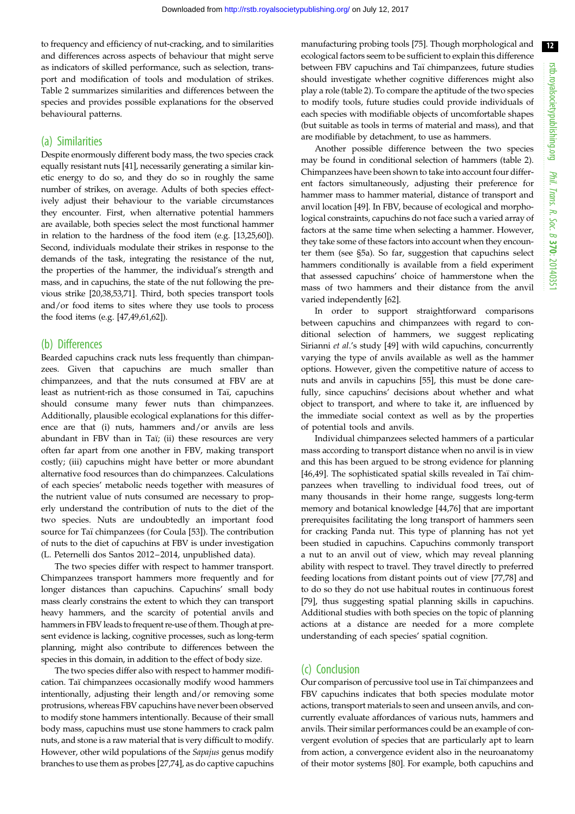to frequency and efficiency of nut-cracking, and to similarities and differences across aspects of behaviour that might serve as indicators of skilled performance, such as selection, transport and modification of tools and modulation of strikes. [Table 2](#page-7-0) summarizes similarities and differences between the species and provides possible explanations for the observed behavioural patterns.

## (a) Similarities

Despite enormously different body mass, the two species crack equally resistant nuts [\[41](#page-13-0)], necessarily generating a similar kinetic energy to do so, and they do so in roughly the same number of strikes, on average. Adults of both species effectively adjust their behaviour to the variable circumstances they encounter. First, when alternative potential hammers are available, both species select the most functional hammer in relation to the hardness of the food item (e.g. [[13,25,](#page-12-0)[60\]](#page-13-0)). Second, individuals modulate their strikes in response to the demands of the task, integrating the resistance of the nut, the properties of the hammer, the individual's strength and mass, and in capuchins, the state of the nut following the previous strike [\[20](#page-12-0)[,38,53](#page-13-0)[,71\]](#page-14-0). Third, both species transport tools and/or food items to sites where they use tools to process the food items (e.g. [\[47,49,61,62\]](#page-13-0)).

### (b) Differences

Bearded capuchins crack nuts less frequently than chimpanzees. Given that capuchins are much smaller than chimpanzees, and that the nuts consumed at FBV are at least as nutrient-rich as those consumed in Taï, capuchins should consume many fewer nuts than chimpanzees. Additionally, plausible ecological explanations for this difference are that (i) nuts, hammers and/or anvils are less abundant in FBV than in Taï; (ii) these resources are very often far apart from one another in FBV, making transport costly; (iii) capuchins might have better or more abundant alternative food resources than do chimpanzees. Calculations of each species' metabolic needs together with measures of the nutrient value of nuts consumed are necessary to properly understand the contribution of nuts to the diet of the two species. Nuts are undoubtedly an important food source for Taï chimpanzees (for Coula [\[53](#page-13-0)]). The contribution of nuts to the diet of capuchins at FBV is under investigation (L. Peternelli dos Santos 2012–2014, unpublished data).

The two species differ with respect to hammer transport. Chimpanzees transport hammers more frequently and for longer distances than capuchins. Capuchins' small body mass clearly constrains the extent to which they can transport heavy hammers, and the scarcity of potential anvils and hammers in FBV leads to frequent re-use of them. Though at present evidence is lacking, cognitive processes, such as long-term planning, might also contribute to differences between the species in this domain, in addition to the effect of body size.

The two species differ also with respect to hammer modification. Taï chimpanzees occasionally modify wood hammers intentionally, adjusting their length and/or removing some protrusions, whereas FBV capuchins have never been observed to modify stone hammers intentionally. Because of their small body mass, capuchins must use stone hammers to crack palm nuts, and stone is a raw material that is very difficult to modify. However, other wild populations of the Sapajus genus modify branches to use them as probes [[27,](#page-12-0)[74\]](#page-14-0), as do captive capuchins

manufacturing probing tools [\[75](#page-14-0)]. Though morphological and ecological factors seem to be sufficient to explain this difference between FBV capuchins and Taï chimpanzees, future studies should investigate whether cognitive differences might also play a role [\(table 2](#page-7-0)). To compare the aptitude of the two species to modify tools, future studies could provide individuals of each species with modifiable objects of uncomfortable shapes (but suitable as tools in terms of material and mass), and that are modifiable by detachment, to use as hammers.

Another possible difference between the two species may be found in conditional selection of hammers ([table 2\)](#page-7-0). Chimpanzees have been shown to take into account four different factors simultaneously, adjusting their preference for hammer mass to hammer material, distance of transport and anvil location [[49\]](#page-13-0). In FBV, because of ecological and morphological constraints, capuchins do not face such a varied array of factors at the same time when selecting a hammer. However, they take some of these factors into account when they encounter them (see §5a). So far, suggestion that capuchins select hammers conditionally is available from a field experiment that assessed capuchins' choice of hammerstone when the mass of two hammers and their distance from the anvil varied independently [\[62](#page-13-0)].

In order to support straightforward comparisons between capuchins and chimpanzees with regard to conditional selection of hammers, we suggest replicating Sirianni et al.'s study [[49\]](#page-13-0) with wild capuchins, concurrently varying the type of anvils available as well as the hammer options. However, given the competitive nature of access to nuts and anvils in capuchins [\[55](#page-13-0)], this must be done carefully, since capuchins' decisions about whether and what object to transport, and where to take it, are influenced by the immediate social context as well as by the properties of potential tools and anvils.

Individual chimpanzees selected hammers of a particular mass according to transport distance when no anvil is in view and this has been argued to be strong evidence for planning [[46,49\]](#page-13-0). The sophisticated spatial skills revealed in Taï chimpanzees when travelling to individual food trees, out of many thousands in their home range, suggests long-term memory and botanical knowledge [\[44](#page-13-0)[,76](#page-14-0)] that are important prerequisites facilitating the long transport of hammers seen for cracking Panda nut. This type of planning has not yet been studied in capuchins. Capuchins commonly transport a nut to an anvil out of view, which may reveal planning ability with respect to travel. They travel directly to preferred feeding locations from distant points out of view [[77,78\]](#page-14-0) and to do so they do not use habitual routes in continuous forest [[79\]](#page-14-0), thus suggesting spatial planning skills in capuchins. Additional studies with both species on the topic of planning actions at a distance are needed for a more complete understanding of each species' spatial cognition.

## (c) Conclusion

Our comparison of percussive tool use in Taï chimpanzees and FBV capuchins indicates that both species modulate motor actions, transport materials to seen and unseen anvils, and concurrently evaluate affordances of various nuts, hammers and anvils. Their similar performances could be an example of convergent evolution of species that are particularly apt to learn from action, a convergence evident also in the neuroanatomy of their motor systems [\[80](#page-14-0)]. For example, both capuchins and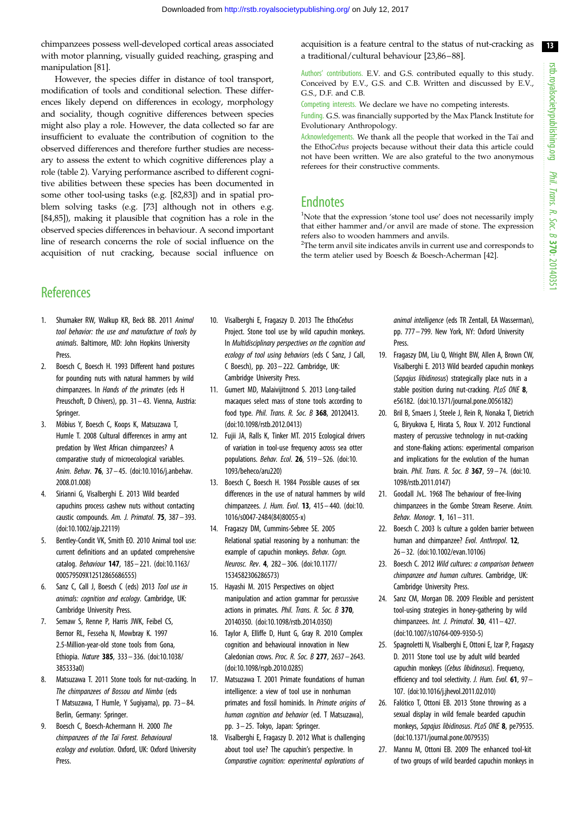<span id="page-12-0"></span>chimpanzees possess well-developed cortical areas associated with motor planning, visually guided reaching, grasping and manipulation [\[81](#page-14-0)].

However, the species differ in distance of tool transport, modification of tools and conditional selection. These differences likely depend on differences in ecology, morphology and sociality, though cognitive differences between species might also play a role. However, the data collected so far are insufficient to evaluate the contribution of cognition to the observed differences and therefore further studies are necessary to assess the extent to which cognitive differences play a role [\(table 2\)](#page-7-0). Varying performance ascribed to different cognitive abilities between these species has been documented in some other tool-using tasks (e.g. [\[82,83\]](#page-14-0)) and in spatial problem solving tasks (e.g. [\[73](#page-14-0)] although not in others e.g. [\[84,85](#page-14-0)]), making it plausible that cognition has a role in the observed species differences in behaviour. A second important line of research concerns the role of social influence on the acquisition of nut cracking, because social influence on acquisition is a feature central to the status of nut-cracking as a traditional/cultural behaviour [23[,86](#page-14-0)–[88\]](#page-14-0).

Authors' contributions. E.V. and G.S. contributed equally to this study. Conceived by E.V., G.S. and C.B. Written and discussed by E.V., G.S., D.F. and C.B.

Competing interests. We declare we have no competing interests.

Funding. G.S. was financially supported by the Max Planck Institute for Evolutionary Anthropology.

Acknowledgements. We thank all the people that worked in the Taï and the EthoCebus projects because without their data this article could not have been written. We are also grateful to the two anonymous referees for their constructive comments.

# **Endnotes**

<sup>1</sup>Note that the expression 'stone tool use' does not necessarily imply that either hammer and/or anvil are made of stone. The expression refers also to wooden hammers and anvils.

<sup>2</sup>The term anvil site indicates anvils in current use and corresponds to the term atelier used by Boesch & Boesch-Acherman [[42\]](#page-13-0).

# **References**

- 1. Shumaker RW, Walkup KR, Beck BB. 2011 Animal tool behavior: the use and manufacture of tools by animals. Baltimore, MD: John Hopkins University Press.
- 2. Boesch C, Boesch H. 1993 Different hand postures for pounding nuts with natural hammers by wild chimpanzees. In Hands of the primates (eds H Preuschoft, D Chivers), pp. 31 – 43. Vienna, Austria: Springer.
- 3. Möbius Y, Boesch C, Koops K, Matsuzawa T, Humle T. 2008 Cultural differences in army ant predation by West African chimpanzees? A comparative study of microecological variables. Anim. Behav. 76, 37 – 45. ([doi:10.1016/j.anbehav.](http://dx.doi.org/10.1016/j.anbehav.2008.01.008) [2008.01.008\)](http://dx.doi.org/10.1016/j.anbehav.2008.01.008)
- 4. Sirianni G, Visalberghi E. 2013 Wild bearded capuchins process cashew nuts without contacting caustic compounds. Am. J. Primatol. 75, 387– 393. [\(doi:10.1002/ajp.22119\)](http://dx.doi.org/10.1002/ajp.22119)
- 5. Bentley-Condit VK, Smith EO. 2010 Animal tool use: current definitions and an updated comprehensive catalog. Behaviour 147, 185– 221. ([doi:10.1163/](http://dx.doi.org/10.1163/000579509X12512865686555) [000579509X12512865686555](http://dx.doi.org/10.1163/000579509X12512865686555))
- 6. Sanz C, Call J, Boesch C (eds) 2013 Tool use in animals: cognition and ecology. Cambridge, UK: Cambridge University Press.
- 7. Semaw S, Renne P, Harris JWK, Feibel CS, Bernor RL, Fesseha N, Mowbray K. 1997 2.5-Million-year-old stone tools from Gona, Ethiopia. Nature 385, 333– 336. [\(doi:10.1038/](http://dx.doi.org/10.1038/385333a0) [385333a0\)](http://dx.doi.org/10.1038/385333a0)
- 8. Matsuzawa T. 2011 Stone tools for nut-cracking. In The chimpanzees of Bossou and Nimba (eds T Matsuzawa, T Humle, Y Sugiyama), pp. 73 – 84. Berlin, Germany: Springer.
- 9. Boesch C, Boesch-Achermann H. 2000 The chimpanzees of the Taï Forest. Behavioural ecology and evolution. Oxford, UK: Oxford University **Press**
- 10. Visalberghi E, Fragaszy D. 2013 The EthoCebus Project. Stone tool use by wild capuchin monkeys. In Multidisciplinary perspectives on the cognition and ecology of tool using behaviors (eds C Sanz, J Call, C Boesch), pp. 203 – 222. Cambridge, UK: Cambridge University Press.
- 11. Gumert MD, Malaivijitnond S. 2013 Long-tailed macaques select mass of stone tools according to food type. Phil. Trans. R. Soc. B 368, 20120413. [\(doi:10.1098/rstb.2012.0413](http://dx.doi.org/10.1098/rstb.2012.0413))
- 12. Fujii JA, Ralls K, Tinker MT. 2015 Ecological drivers of variation in tool-use frequency across sea otter populations. Behav. Ecol. 26, 519– 526. [\(doi:10.](http://dx.doi.org/10.1093/beheco/aru220) [1093/beheco/aru220\)](http://dx.doi.org/10.1093/beheco/aru220)
- 13. Boesch C, Boesch H. 1984 Possible causes of sex differences in the use of natural hammers by wild chimpanzees. J. Hum. Evol. 13, 415– 440. [\(doi:10.](http://dx.doi.org/10.1016/s0047-2484(84)80055-x) [1016/s0047-2484\(84\)80055-x](http://dx.doi.org/10.1016/s0047-2484(84)80055-x))
- 14. Fragaszy DM, Cummins-Sebree SE. 2005 Relational spatial reasoning by a nonhuman: the example of capuchin monkeys. Behav. Cogn. Neurosc. Rev. 4, 282– 306. [\(doi:10.1177/](http://dx.doi.org/10.1177/1534582306286573) [1534582306286573\)](http://dx.doi.org/10.1177/1534582306286573)
- 15. Hayashi M. 2015 Perspectives on object manipulation and action grammar for percussive actions in primates. Phil. Trans. R. Soc. B 370, 20140350. ([doi:10.1098/rstb.2014.0350](http://dx.doi.org/10.1098/rstb.2014.0350))
- 16. Taylor A, Elliffe D, Hunt G, Gray R. 2010 Complex cognition and behavioural innovation in New Caledonian crows. Proc. R. Soc. B 277, 2637 – 2643. [\(doi:10.1098/rspb.2010.0285\)](http://dx.doi.org/10.1098/rspb.2010.0285)
- 17. Matsuzawa T. 2001 Primate foundations of human intelligence: a view of tool use in nonhuman primates and fossil hominids. In Primate origins of human cognition and behavior (ed. T Matsuzawa), pp. 3– 25. Tokyo, Japan: Springer.
- 18. Visalberghi E, Fragaszy D. 2012 What is challenging about tool use? The capuchin's perspective. In Comparative cognition: experimental explorations of

animal intelligence (eds TR Zentall, EA Wasserman), pp. 777– 799. New York, NY: Oxford University Press.

- 19. Fragaszy DM, Liu Q, Wright BW, Allen A, Brown CW, Visalberghi E. 2013 Wild bearded capuchin monkeys (Sapajus libidinosus) strategically place nuts in a stable position during nut-cracking. PLoS ONE 8, e56182. ([doi:10.1371/journal.pone.0056182](http://dx.doi.org/10.1371/journal.pone.0056182))
- 20. Bril B, Smaers J, Steele J, Rein R, Nonaka T, Dietrich G, Biryukova E, Hirata S, Roux V. 2012 Functional mastery of percussive technology in nut-cracking and stone-flaking actions: experimental comparison and implications for the evolution of the human brain. Phil. Trans. R. Soc. B 367, 59 – 74. [\(doi:10.](http://dx.doi.org/10.1098/rstb.2011.0147) [1098/rstb.2011.0147](http://dx.doi.org/10.1098/rstb.2011.0147))
- 21. Goodall JvL. 1968 The behaviour of free-living chimpanzees in the Gombe Stream Reserve. Anim. Behav. Monogr. 1, 161– 311.
- 22. Boesch C. 2003 Is culture a golden barrier between human and chimpanzee? Evol. Anthropol. 12, 26– 32. [\(doi:10.1002/evan.10106\)](http://dx.doi.org/10.1002/evan.10106)
- 23. Boesch C. 2012 Wild cultures: a comparison between chimpanzee and human cultures. Cambridge, UK: Cambridge University Press.
- 24. Sanz CM, Morgan DB. 2009 Flexible and persistent tool-using strategies in honey-gathering by wild chimpanzees. *Int. J. Primatol*. **30**, 411-427. ([doi:10.1007/s10764-009-9350-5](http://dx.doi.org/10.1007/s10764-009-9350-5))
- 25. Spagnoletti N, Visalberghi E, Ottoni E, Izar P, Fragaszy D. 2011 Stone tool use by adult wild bearded capuchin monkeys (Cebus libidinosus). Frequency, efficiency and tool selectivity. J. Hum. Evol. 61, 97-107. [\(doi:10.1016/j.jhevol.2011.02.010](http://dx.doi.org/10.1016/j.jhevol.2011.02.010))
- 26. Falótico T, Ottoni EB. 2013 Stone throwing as a sexual display in wild female bearded capuchin monkeys, Sapajus libidinosus. PLoS ONE 8, pe79535. ([doi:10.1371/journal.pone.0079535](http://dx.doi.org/10.1371/journal.pone.0079535))
- 27. Mannu M, Ottoni EB. 2009 The enhanced tool-kit of two groups of wild bearded capuchin monkeys in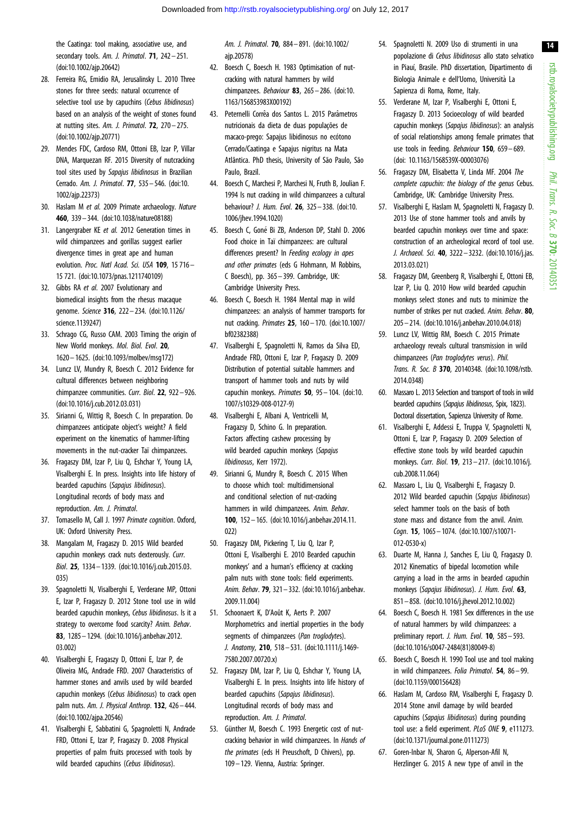<span id="page-13-0"></span>the Caatinga: tool making, associative use, and secondary tools. Am. J. Primatol. 71, 242-251. [\(doi:10.1002/ajp.20642\)](http://dx.doi.org/10.1002/ajp.20642)

- 28. Ferreira RG, Emidio RA, Jerusalinsky L. 2010 Three stones for three seeds: natural occurrence of selective tool use by capuchins (Cebus libidinosus) based on an analysis of the weight of stones found at nutting sites. Am. J. Primatol.  $72$ ,  $270 - 275$ . [\(doi:10.1002/ajp.20771\)](http://dx.doi.org/10.1002/ajp.20771)
- 29. Mendes FDC, Cardoso RM, Ottoni EB, Izar P, Villar DNA, Marquezan RF. 2015 Diversity of nutcracking tool sites used by Sapajus libidinosus in Brazilian Cerrado. Am. J. Primatol. 77, 535– 546. [\(doi:10.](http://dx.doi.org/10.1002/ajp.22373) [1002/ajp.22373](http://dx.doi.org/10.1002/ajp.22373))
- 30. Haslam M et al. 2009 Primate archaeology. Nature 460, 339– 344. [\(doi:10.1038/nature08188](http://dx.doi.org/10.1038/nature08188))
- 31. Langergraber KE et al. 2012 Generation times in wild chimpanzees and gorillas suggest earlier divergence times in great ape and human evolution. Proc. Natl Acad. Sci. USA 109, 15 716 -15 721. ([doi:10.1073/pnas.1211740109\)](http://dx.doi.org/10.1073/pnas.1211740109)
- 32. Gibbs RA et al. 2007 Evolutionary and biomedical insights from the rhesus macaque genome. Science 316, 222 – 234. ([doi:10.1126/](http://dx.doi.org/10.1126/science.1139247) [science.1139247\)](http://dx.doi.org/10.1126/science.1139247)
- 33. Schrago CG, Russo CAM. 2003 Timing the origin of New World monkeys. Mol. Biol. Evol. 20, 1620 – 1625. [\(doi:10.1093/molbev/msg172](http://dx.doi.org/10.1093/molbev/msg172))
- 34. Luncz LV, Mundry R, Boesch C. 2012 Evidence for cultural differences between neighboring chimpanzee communities. Curr. Biol. 22, 922– 926. [\(doi:10.1016/j.cub.2012.03.031](http://dx.doi.org/10.1016/j.cub.2012.03.031))
- 35. Sirianni G, Wittig R, Boesch C. In preparation. Do chimpanzees anticipate object's weight? A field experiment on the kinematics of hammer-lifting movements in the nut-cracker Taï chimpanzees.
- 36. Fragaszy DM, Izar P, Liu Q, Eshchar Y, Young LA, Visalberghi E. In press. Insights into life history of bearded capuchins (Sapajus libidinosus). Longitudinal records of body mass and reproduction. Am. J. Primatol.
- 37. Tomasello M, Call J. 1997 Primate cognition. Oxford, UK: Oxford University Press.
- 38. Mangalam M, Fragaszy D. 2015 Wild bearded capuchin monkeys crack nuts dexterously. Curr. Biol. 25, 1334– 1339. [\(doi:10.1016/j.cub.2015.03.](http://dx.doi.org/10.1016/j.cub.2015.03.035) [035](http://dx.doi.org/10.1016/j.cub.2015.03.035))
- 39. Spagnoletti N, Visalberghi E, Verderane MP, Ottoni E, Izar P, Fragaszy D. 2012 Stone tool use in wild bearded capuchin monkeys, Cebus libidinosus. Is it a strategy to overcome food scarcity? Anim. Behav. 83, 1285– 1294. [\(doi:10.1016/j.anbehav.2012.](http://dx.doi.org/10.1016/j.anbehav.2012.03.002) [03.002\)](http://dx.doi.org/10.1016/j.anbehav.2012.03.002)
- 40. Visalberghi E, Fragaszy D, Ottoni E, Izar P, de Oliveira MG, Andrade FRD. 2007 Characteristics of hammer stones and anvils used by wild bearded capuchin monkeys (Cebus libidinosus) to crack open palm nuts. Am. J. Physical Anthrop. 132, 426– 444. [\(doi:10.1002/ajpa.20546](http://dx.doi.org/10.1002/ajpa.20546))
- 41. Visalberghi E, Sabbatini G, Spagnoletti N, Andrade FRD, Ottoni E, Izar P, Fragaszy D. 2008 Physical properties of palm fruits processed with tools by wild bearded capuchins (Cebus libidinosus).

Am. J. Primatol. 70, 884– 891. ([doi:10.1002/](http://dx.doi.org/10.1002/ajp.20578) [ajp.20578\)](http://dx.doi.org/10.1002/ajp.20578)

- 42. Boesch C, Boesch H. 1983 Optimisation of nutcracking with natural hammers by wild chimpanzees. Behaviour 83, 265-286. [\(doi:10.](http://dx.doi.org/10.1163/156853983X00192) [1163/156853983X00192\)](http://dx.doi.org/10.1163/156853983X00192)
- 43. Peternelli Corrêa dos Santos L. 2015 Parâmetros nutricionais da dieta de duas populações de macaco-prego: Sapajus libidinosus no ecótono Cerrado/Caatinga e Sapajus nigritus na Mata Atlântica. PhD thesis, University of São Paulo, São Paulo, Brazil.
- 44. Boesch C, Marchesi P, Marchesi N, Fruth B, Joulian F. 1994 Is nut cracking in wild chimpanzees a cultural behaviour? J. Hum. Evol. 26, 325– 338. [\(doi:10.](http://dx.doi.org/10.1006/jhev.1994.1020) [1006/jhev.1994.1020\)](http://dx.doi.org/10.1006/jhev.1994.1020)
- 45. Boesch C, Goné Bi ZB, Anderson DP, Stahl D. 2006 Food choice in Taï chimpanzees: are cultural differences present? In Feeding ecology in apes and other primates (eds G Hohmann, M Robbins, C Boesch), pp. 365 – 399. Cambridge, UK: Cambridge University Press.
- 46. Boesch C, Boesch H. 1984 Mental map in wild chimpanzees: an analysis of hammer transports for nut cracking. Primates 25, 160– 170. [\(doi:10.1007/](http://dx.doi.org/10.1007/bf02382388) [bf02382388](http://dx.doi.org/10.1007/bf02382388))
- 47. Visalberghi E, Spagnoletti N, Ramos da Silva ED, Andrade FRD, Ottoni E, Izar P, Fragaszy D. 2009 Distribution of potential suitable hammers and transport of hammer tools and nuts by wild capuchin monkeys. Primates  $50$ ,  $95 - 104$ . [\(doi:10.](http://dx.doi.org/10.1007/s10329-008-0127-9) [1007/s10329-008-0127-9\)](http://dx.doi.org/10.1007/s10329-008-0127-9)
- 48. Visalberghi E, Albani A, Ventricelli M, Fragazsy D, Schino G. In preparation. Factors affecting cashew processing by wild bearded capuchin monkeys (Sapajus libidinosus, Kerr 1972).
- 49. Sirianni G, Mundry R, Boesch C. 2015 When to choose which tool: multidimensional and conditional selection of nut-cracking hammers in wild chimpanzees. Anim. Behav. 100, 152 – 165. [\(doi:10.1016/j.anbehav.2014.11.](http://dx.doi.org/10.1016/j.anbehav.2014.11.022)  $(1)$
- 50. Fragaszy DM, Pickering T, Liu Q, Izar P, Ottoni E, Visalberghi E. 2010 Bearded capuchin monkeys' and a human's efficiency at cracking palm nuts with stone tools: field experiments. Anim. Behav. 79, 321– 332. [\(doi:10.1016/j.anbehav.](http://dx.doi.org/10.1016/j.anbehav.2009.11.004) [2009.11.004\)](http://dx.doi.org/10.1016/j.anbehav.2009.11.004)
- 51. Schoonaert K, D'Août K, Aerts P. 2007 Morphometrics and inertial properties in the body segments of chimpanzees (Pan troglodytes). J. Anatomy, 210, 518– 531. ([doi:10.1111/j.1469-](http://dx.doi.org/10.1111/j.1469-7580.2007.00720.x) [7580.2007.00720.x\)](http://dx.doi.org/10.1111/j.1469-7580.2007.00720.x)
- 52. Fragaszy DM, Izar P, Liu Q, Eshchar Y, Young LA, Visalberghi E. In press. Insights into life history of bearded capuchins (Sapaius libidinosus). Longitudinal records of body mass and reproduction. Am. J. Primatol.
- 53. Günther M, Boesch C. 1993 Energetic cost of nutcracking behavior in wild chimpanzees. In Hands of the primates (eds H Preuschoft, D Chivers), pp. 109 – 129. Vienna, Austria: Springer.
- 54. Spagnoletti N. 2009 Uso di strumenti in una popolazione di Cebus libidinosus allo stato selvatico in Piauí, Brasile. PhD dissertation, Dipartimento di Biologia Animale e dell'Uomo, Università La Sapienza di Roma, Rome, Italy.
- 55. Verderane M, Izar P, Visalberghi E, Ottoni E, Fragaszy D. 2013 Socioecology of wild bearded capuchin monkeys (Sapajus libidinosus): an analysis of social relationships among female primates that use tools in feeding. Behaviour 150, 659– 689. ([doi: 10.1163/1568539X-00003076](http://dx.doi.org/10.1163/1568539X-00003076))
- 56. Fragaszy DM, Elisabetta V, Linda MF. 2004 The complete capuchin: the biology of the genus Cebus. Cambridge, UK: Cambridge University Press.
- 57. Visalberghi E, Haslam M, Spagnoletti N, Fragaszy D. 2013 Use of stone hammer tools and anvils by bearded capuchin monkeys over time and space: construction of an archeological record of tool use. J. Archaeol. Sci. 40, 3222– 3232. ([doi:10.1016/j.jas.](http://dx.doi.org/10.1016/j.jas.2013.03.021) [2013.03.021](http://dx.doi.org/10.1016/j.jas.2013.03.021))
- 58. Fragaszy DM, Greenberg R, Visalberghi E, Ottoni EB, Izar P, Liu Q. 2010 How wild bearded capuchin monkeys select stones and nuts to minimize the number of strikes per nut cracked. Anim. Behav. 80, 205– 214. [\(doi:10.1016/j.anbehav.2010.04.018\)](http://dx.doi.org/10.1016/j.anbehav.2010.04.018)
- 59. Luncz LV, Wittig RM, Boesch C. 2015 Primate archaeology reveals cultural transmission in wild chimpanzees (Pan troglodytes verus). Phil. Trans. R. Soc. B 370, 20140348. ([doi:10.1098/rstb.](http://dx.doi.org/10.1098/rstb.2014.0348) [2014.0348](http://dx.doi.org/10.1098/rstb.2014.0348))
- 60. Massaro L. 2013 Selection and transport of tools in wild bearded capuchins (Sapajus libidinosus, Spix, 1823). Doctoral dissertation, Sapienza University of Rome.
- 61. Visalberghi E, Addessi E, Truppa V, Spagnoletti N, Ottoni E, Izar P, Fragaszy D. 2009 Selection of effective stone tools by wild bearded capuchin monkeys. Curr. Biol. 19, 213– 217. [\(doi:10.1016/j.](http://dx.doi.org/10.1016/j.cub.2008.11.064) [cub.2008.11.064\)](http://dx.doi.org/10.1016/j.cub.2008.11.064)
- 62. Massaro L, Liu Q, Visalberghi E, Fragaszy D. 2012 Wild bearded capuchin (Sapajus libidinosus) select hammer tools on the basis of both stone mass and distance from the anvil. Anim. Cogn. 15, 1065 - 1074. ([doi:10.1007/s10071-](http://dx.doi.org/10.1007/s10071-012-0530-x) [012-0530-x](http://dx.doi.org/10.1007/s10071-012-0530-x))
- 63. Duarte M, Hanna J, Sanches E, Liu Q, Fragaszy D. 2012 Kinematics of bipedal locomotion while carrying a load in the arms in bearded capuchin monkeys (Sapajus libidinosus). J. Hum. Evol. 63, 851– 858. [\(doi:10.1016/j.jhevol.2012.10.002\)](http://dx.doi.org/10.1016/j.jhevol.2012.10.002)
- 64. Boesch C, Boesch H. 1981 Sex differences in the use of natural hammers by wild chimpanzees: a preliminary report. J. Hum. Evol. 10, 585– 593. ([doi:10.1016/s0047-2484\(81\)80049-8](http://dx.doi.org/10.1016/s0047-2484(81)80049-8))
- 65. Boesch C, Boesch H. 1990 Tool use and tool making in wild chimpanzees. Folia Primatol. 54, 86– 99. ([doi:10.1159/000156428\)](http://dx.doi.org/10.1159/000156428)
- 66. Haslam M, Cardoso RM, Visalberghi E, Fragaszy D. 2014 Stone anvil damage by wild bearded capuchins (Sapajus libidinosus) during pounding tool use: a field experiment. PLoS ONE 9, e111273. ([doi:10.1371/journal.pone.0111273](http://dx.doi.org/10.1371/journal.pone.0111273))
- 67. Goren-Inbar N, Sharon G, Alperson-Afil N, Herzlinger G. 2015 A new type of anvil in the